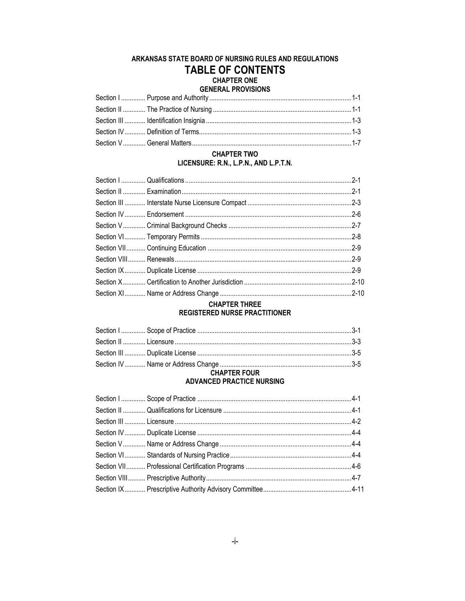# ARKANSAS STATE BOARD OF NURSING RULES AND REGULATIONS **TABLE OF CONTENTS CHAPTER ONE**

### **GENERAL PROVISIONS**

| ULIN DI LI SERVIT DI STANDISHI DI SHI DI SHI DI SHI DI SHI DI SHI DI SHI DI SHI DI SHI DI SHI DI SHI DI SHI DI |  |
|----------------------------------------------------------------------------------------------------------------|--|
|                                                                                                                |  |
|                                                                                                                |  |
|                                                                                                                |  |
|                                                                                                                |  |
|                                                                                                                |  |

#### **CHAPTER TWO** LICENSURE: R.N., L.P.N., AND L.P.T.N.

#### **CHAPTER THREE REGISTERED NURSE PRACTITIONER**

# 

#### **CHAPTER FOUR ADVANCED PRACTICE NURSING**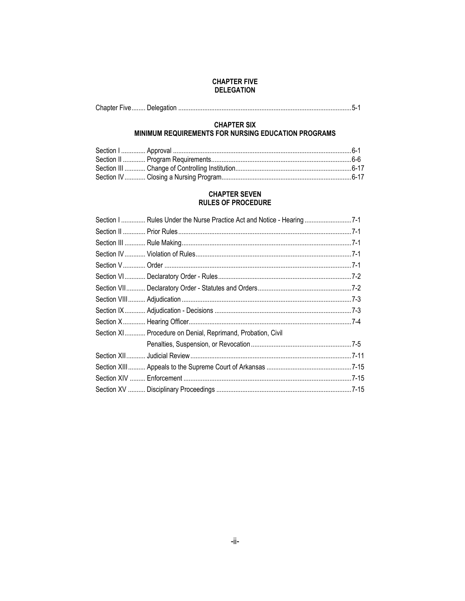#### **CHAPTER FIVE DELEGATION**

|--|--|--|--|

#### **CHAPTER SIX** MINIMUM REQUIREMENTS FOR NURSING EDUCATION PROGRAMS

#### **CHAPTER SEVEN RULES OF PROCEDURE**

| Section I  Rules Under the Nurse Practice Act and Notice - Hearing 7-1 |
|------------------------------------------------------------------------|
|                                                                        |
|                                                                        |
|                                                                        |
|                                                                        |
|                                                                        |
|                                                                        |
|                                                                        |
|                                                                        |
|                                                                        |
| Section XI Procedure on Denial, Reprimand, Probation, Civil            |
|                                                                        |
|                                                                        |
|                                                                        |
|                                                                        |
|                                                                        |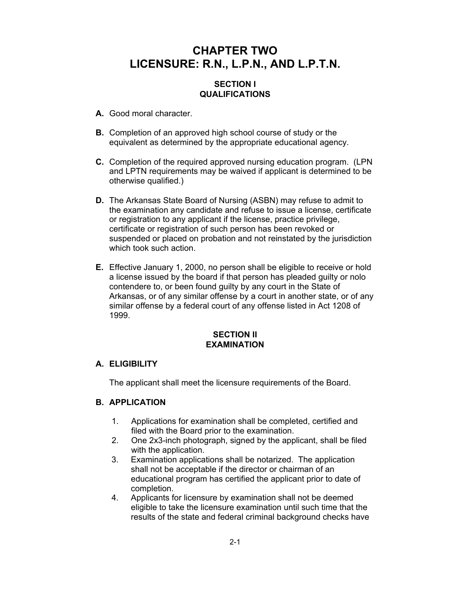# **CHAPTER TWO LICENSURE: R.N., L.P.N., AND L.P.T.N.**

### **SECTION I QUALIFICATIONS**

- **A.** Good moral character.
- **B.** Completion of an approved high school course of study or the equivalent as determined by the appropriate educational agency.
- **C.** Completion of the required approved nursing education program. (LPN and LPTN requirements may be waived if applicant is determined to be otherwise qualified.)
- **D.** The Arkansas State Board of Nursing (ASBN) may refuse to admit to the examination any candidate and refuse to issue a license, certificate or registration to any applicant if the license, practice privilege, certificate or registration of such person has been revoked or suspended or placed on probation and not reinstated by the jurisdiction which took such action.
- **E.** Effective January 1, 2000, no person shall be eligible to receive or hold a license issued by the board if that person has pleaded guilty or nolo contendere to, or been found guilty by any court in the State of Arkansas, or of any similar offense by a court in another state, or of any similar offense by a federal court of any offense listed in Act 1208 of 1999.

### **SECTION II EXAMINATION**

### **A. ELIGIBILITY**

The applicant shall meet the licensure requirements of the Board.

# **B. APPLICATION**

- 1. Applications for examination shall be completed, certified and filed with the Board prior to the examination.
- 2. One 2x3-inch photograph, signed by the applicant, shall be filed with the application.
- 3. Examination applications shall be notarized. The application shall not be acceptable if the director or chairman of an educational program has certified the applicant prior to date of completion.
- 4. Applicants for licensure by examination shall not be deemed eligible to take the licensure examination until such time that the results of the state and federal criminal background checks have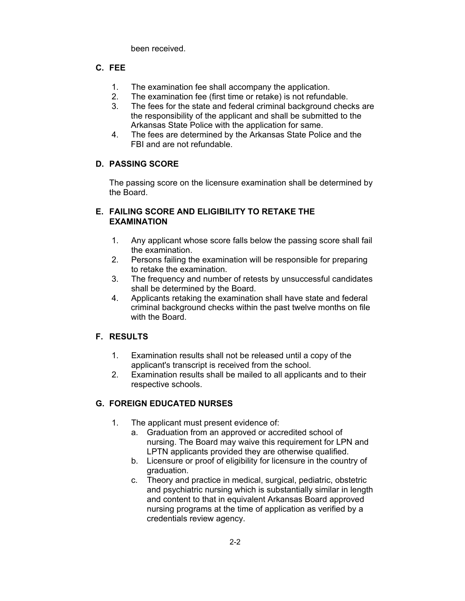been received.

# **C. FEE**

- 1. The examination fee shall accompany the application.
- 2. The examination fee (first time or retake) is not refundable.
- 3. The fees for the state and federal criminal background checks are the responsibility of the applicant and shall be submitted to the Arkansas State Police with the application for same.
- 4. The fees are determined by the Arkansas State Police and the FBI and are not refundable.

# **D. PASSING SCORE**

The passing score on the licensure examination shall be determined by the Board.

### **E. FAILING SCORE AND ELIGIBILITY TO RETAKE THE EXAMINATION**

- 1. Any applicant whose score falls below the passing score shall fail the examination.
- 2. Persons failing the examination will be responsible for preparing to retake the examination.
- 3. The frequency and number of retests by unsuccessful candidates shall be determined by the Board.
- 4. Applicants retaking the examination shall have state and federal criminal background checks within the past twelve months on file with the Board.

# **F. RESULTS**

- 1. Examination results shall not be released until a copy of the applicant's transcript is received from the school.
- 2. Examination results shall be mailed to all applicants and to their respective schools.

# **G. FOREIGN EDUCATED NURSES**

- 1. The applicant must present evidence of:
	- a. Graduation from an approved or accredited school of nursing. The Board may waive this requirement for LPN and LPTN applicants provided they are otherwise qualified.
	- b. Licensure or proof of eligibility for licensure in the country of graduation.
	- c. Theory and practice in medical, surgical, pediatric, obstetric and psychiatric nursing which is substantially similar in length and content to that in equivalent Arkansas Board approved nursing programs at the time of application as verified by a credentials review agency.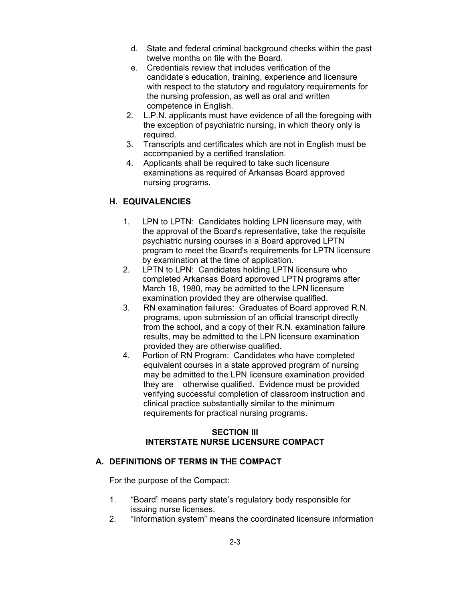- d. State and federal criminal background checks within the past twelve months on file with the Board.
- e. Credentials review that includes verification of the candidate's education, training, experience and licensure with respect to the statutory and regulatory requirements for the nursing profession, as well as oral and written competence in English.
- 2. L.P.N. applicants must have evidence of all the foregoing with the exception of psychiatric nursing, in which theory only is required.
- 3. Transcripts and certificates which are not in English must be accompanied by a certified translation.
- 4. Applicants shall be required to take such licensure examinations as required of Arkansas Board approved nursing programs.

# **H. EQUIVALENCIES**

- 1. LPN to LPTN: Candidates holding LPN licensure may, with the approval of the Board's representative, take the requisite psychiatric nursing courses in a Board approved LPTN program to meet the Board's requirements for LPTN licensure by examination at the time of application.
- 2. LPTN to LPN: Candidates holding LPTN licensure who completed Arkansas Board approved LPTN programs after March 18, 1980, may be admitted to the LPN licensure examination provided they are otherwise qualified.
- 3. RN examination failures: Graduates of Board approved R.N. programs, upon submission of an official transcript directly from the school, and a copy of their R.N. examination failure results, may be admitted to the LPN licensure examination provided they are otherwise qualified.
- 4. Portion of RN Program: Candidates who have completed equivalent courses in a state approved program of nursing may be admitted to the LPN licensure examination provided they are otherwise qualified. Evidence must be provided verifying successful completion of classroom instruction and clinical practice substantially similar to the minimum requirements for practical nursing programs.

### **SECTION III INTERSTATE NURSE LICENSURE COMPACT**

# **A. DEFINITIONS OF TERMS IN THE COMPACT**

For the purpose of the Compact:

- 1. "Board" means party state's regulatory body responsible for issuing nurse licenses.
- 2. "Information system" means the coordinated licensure information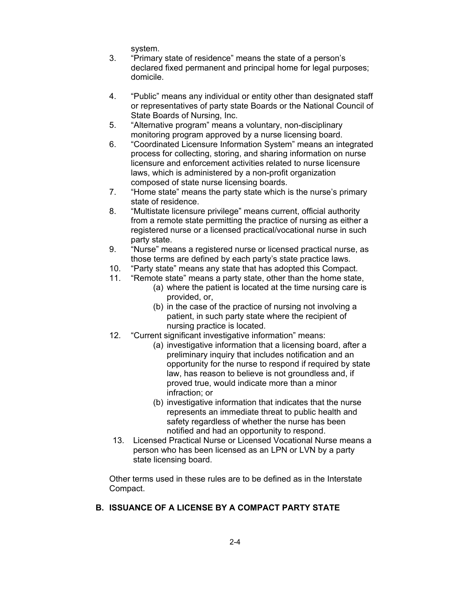system.

- 3. "Primary state of residence" means the state of a person's declared fixed permanent and principal home for legal purposes; domicile.
- 4. "Public" means any individual or entity other than designated staff or representatives of party state Boards or the National Council of State Boards of Nursing, Inc.
- 5. "Alternative program" means a voluntary, non-disciplinary monitoring program approved by a nurse licensing board.
- 6. "Coordinated Licensure Information System" means an integrated process for collecting, storing, and sharing information on nurse licensure and enforcement activities related to nurse licensure laws, which is administered by a non-profit organization composed of state nurse licensing boards.
- 7. "Home state" means the party state which is the nurse's primary state of residence.
- 8. "Multistate licensure privilege" means current, official authority from a remote state permitting the practice of nursing as either a registered nurse or a licensed practical/vocational nurse in such party state.
- 9. "Nurse" means a registered nurse or licensed practical nurse, as those terms are defined by each party's state practice laws.
- 10. "Party state" means any state that has adopted this Compact.
- 11. "Remote state" means a party state, other than the home state,
	- (a) where the patient is located at the time nursing care is provided, or,
	- (b) in the case of the practice of nursing not involving a patient, in such party state where the recipient of nursing practice is located.
- 12. "Current significant investigative information" means:
	- (a) investigative information that a licensing board, after a preliminary inquiry that includes notification and an opportunity for the nurse to respond if required by state law, has reason to believe is not groundless and, if proved true, would indicate more than a minor infraction; or
	- (b) investigative information that indicates that the nurse represents an immediate threat to public health and safety regardless of whether the nurse has been notified and had an opportunity to respond.
- 13. Licensed Practical Nurse or Licensed Vocational Nurse means a person who has been licensed as an LPN or LVN by a party state licensing board.

Other terms used in these rules are to be defined as in the Interstate Compact.

# **B. ISSUANCE OF A LICENSE BY A COMPACT PARTY STATE**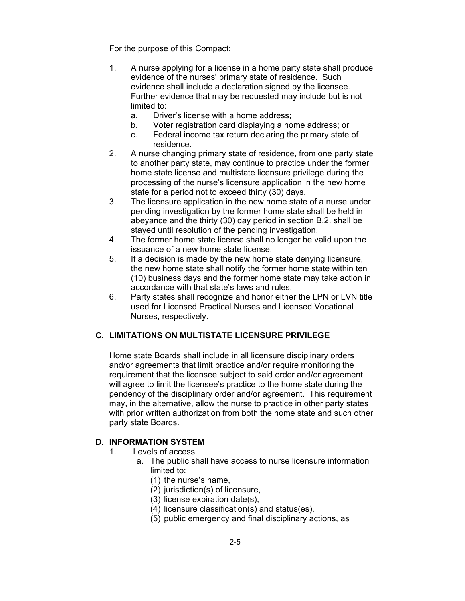For the purpose of this Compact:

- 1. A nurse applying for a license in a home party state shall produce evidence of the nurses' primary state of residence. Such evidence shall include a declaration signed by the licensee. Further evidence that may be requested may include but is not limited to:
	- a. Driver's license with a home address;
	- b. Voter registration card displaying a home address; or
	- c. Federal income tax return declaring the primary state of residence.
- 2. A nurse changing primary state of residence, from one party state to another party state, may continue to practice under the former home state license and multistate licensure privilege during the processing of the nurse's licensure application in the new home state for a period not to exceed thirty (30) days.
- 3. The licensure application in the new home state of a nurse under pending investigation by the former home state shall be held in abeyance and the thirty (30) day period in section B.2. shall be stayed until resolution of the pending investigation.
- 4. The former home state license shall no longer be valid upon the issuance of a new home state license.
- 5. If a decision is made by the new home state denying licensure, the new home state shall notify the former home state within ten (10) business days and the former home state may take action in accordance with that state's laws and rules.
- 6. Party states shall recognize and honor either the LPN or LVN title used for Licensed Practical Nurses and Licensed Vocational Nurses, respectively.

### **C. LIMITATIONS ON MULTISTATE LICENSURE PRIVILEGE**

Home state Boards shall include in all licensure disciplinary orders and/or agreements that limit practice and/or require monitoring the requirement that the licensee subject to said order and/or agreement will agree to limit the licensee's practice to the home state during the pendency of the disciplinary order and/or agreement. This requirement may, in the alternative, allow the nurse to practice in other party states with prior written authorization from both the home state and such other party state Boards.

### **D. INFORMATION SYSTEM**

- 1. Levels of access
	- a. The public shall have access to nurse licensure information limited to:
		- (1) the nurse's name,
		- (2) jurisdiction(s) of licensure,
		- (3) license expiration date(s),
		- (4) licensure classification(s) and status(es),
		- (5) public emergency and final disciplinary actions, as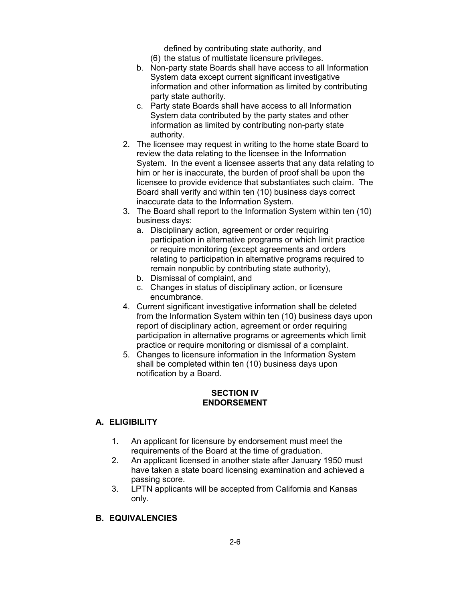defined by contributing state authority, and

- (6) the status of multistate licensure privileges.
- b. Non-party state Boards shall have access to all Information System data except current significant investigative information and other information as limited by contributing party state authority.
- c. Party state Boards shall have access to all Information System data contributed by the party states and other information as limited by contributing non-party state authority.
- 2. The licensee may request in writing to the home state Board to review the data relating to the licensee in the Information System. In the event a licensee asserts that any data relating to him or her is inaccurate, the burden of proof shall be upon the licensee to provide evidence that substantiates such claim. The Board shall verify and within ten (10) business days correct inaccurate data to the Information System.
- 3. The Board shall report to the Information System within ten (10) business days:
	- a. Disciplinary action, agreement or order requiring participation in alternative programs or which limit practice or require monitoring (except agreements and orders relating to participation in alternative programs required to remain nonpublic by contributing state authority),
	- b. Dismissal of complaint, and
	- c. Changes in status of disciplinary action, or licensure encumbrance.
- 4. Current significant investigative information shall be deleted from the Information System within ten (10) business days upon report of disciplinary action, agreement or order requiring participation in alternative programs or agreements which limit practice or require monitoring or dismissal of a complaint.
- 5. Changes to licensure information in the Information System shall be completed within ten (10) business days upon notification by a Board.

### **SECTION IV ENDORSEMENT**

# **A. ELIGIBILITY**

- 1. An applicant for licensure by endorsement must meet the requirements of the Board at the time of graduation.
- 2. An applicant licensed in another state after January 1950 must have taken a state board licensing examination and achieved a passing score.
- 3. LPTN applicants will be accepted from California and Kansas only.

# **B. EQUIVALENCIES**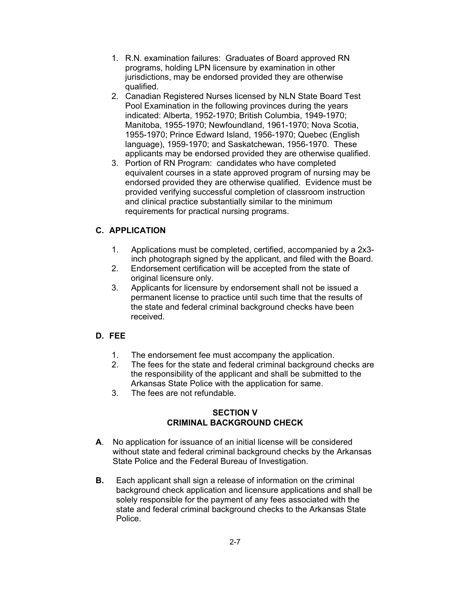- 1. R.N. examination failures: Graduates of Board approved RN programs, holding LPN licensure by examination in other jurisdictions, may be endorsed provided they are otherwise qualified.
- 2. Canadian Registered Nurses licensed by NLN State Board Test Pool Examination in the following provinces during the years indicated: Alberta, 1952-1970; British Columbia, 1949-1970; Manitoba, 1955-1970; Newfoundland, 1961-1970; Nova Scotia, 1955-1970; Prince Edward Island, 1956-1970; Quebec (English language), 1959-1970; and Saskatchewan, 1956-1970. These applicants may be endorsed provided they are otherwise qualified.
- 3. Portion of RN Program: candidates who have completed equivalent courses in a state approved program of nursing may be endorsed provided they are otherwise qualified. Evidence must be provided verifying successful completion of classroom instruction and clinical practice substantially similar to the minimum requirements for practical nursing programs.

### **C. APPLICATION**

- 1. Applications must be completed, certified, accompanied by a 2x3 inch photograph signed by the applicant, and filed with the Board.
- 2. Endorsement certification will be accepted from the state of original licensure only.
- 3. Applicants for licensure by endorsement shall not be issued a permanent license to practice until such time that the results of the state and federal criminal background checks have been received.

### **D. FEE**

- 1. The endorsement fee must accompany the application.
- 2. The fees for the state and federal criminal background checks are the responsibility of the applicant and shall be submitted to the Arkansas State Police with the application for same.
- 3. The fees are not refundable.

### **SECTION V CRIMINAL BACKGROUND CHECK**

- **A**. No application for issuance of an initial license will be considered without state and federal criminal background checks by the Arkansas State Police and the Federal Bureau of Investigation.
- **B.** Each applicant shall sign a release of information on the criminal background check application and licensure applications and shall be solely responsible for the payment of any fees associated with the state and federal criminal background checks to the Arkansas State Police.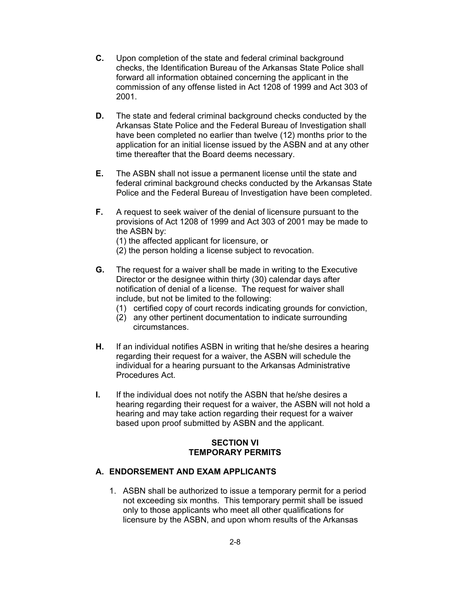- **C.** Upon completion of the state and federal criminal background checks, the Identification Bureau of the Arkansas State Police shall forward all information obtained concerning the applicant in the commission of any offense listed in Act 1208 of 1999 and Act 303 of 2001.
- **D.** The state and federal criminal background checks conducted by the Arkansas State Police and the Federal Bureau of Investigation shall have been completed no earlier than twelve (12) months prior to the application for an initial license issued by the ASBN and at any other time thereafter that the Board deems necessary.
- **E.** The ASBN shall not issue a permanent license until the state and federal criminal background checks conducted by the Arkansas State Police and the Federal Bureau of Investigation have been completed.
- **F.** A request to seek waiver of the denial of licensure pursuant to the provisions of Act 1208 of 1999 and Act 303 of 2001 may be made to the ASBN by:
	- (1) the affected applicant for licensure, or
	- (2) the person holding a license subject to revocation.
- **G.** The request for a waiver shall be made in writing to the Executive Director or the designee within thirty (30) calendar days after notification of denial of a license. The request for waiver shall include, but not be limited to the following:
	- (1) certified copy of court records indicating grounds for conviction,
	- (2) any other pertinent documentation to indicate surrounding circumstances.
- **H.** If an individual notifies ASBN in writing that he/she desires a hearing regarding their request for a waiver, the ASBN will schedule the individual for a hearing pursuant to the Arkansas Administrative Procedures Act.
- **I.** If the individual does not notify the ASBN that he/she desires a hearing regarding their request for a waiver, the ASBN will not hold a hearing and may take action regarding their request for a waiver based upon proof submitted by ASBN and the applicant.

### **SECTION VI TEMPORARY PERMITS**

### **A. ENDORSEMENT AND EXAM APPLICANTS**

1. ASBN shall be authorized to issue a temporary permit for a period not exceeding six months. This temporary permit shall be issued only to those applicants who meet all other qualifications for licensure by the ASBN, and upon whom results of the Arkansas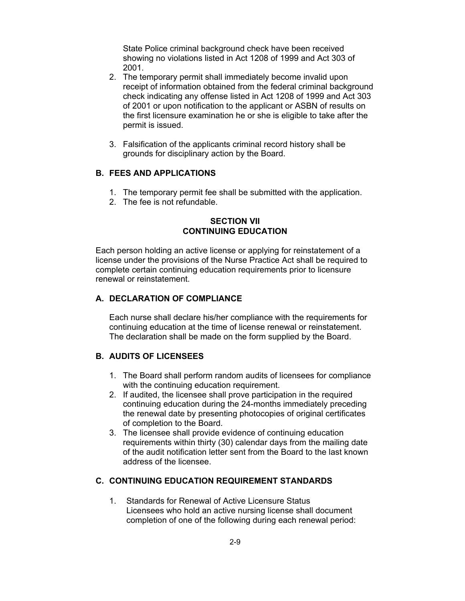State Police criminal background check have been received showing no violations listed in Act 1208 of 1999 and Act 303 of 2001.

- 2. The temporary permit shall immediately become invalid upon receipt of information obtained from the federal criminal background check indicating any offense listed in Act 1208 of 1999 and Act 303 of 2001 or upon notification to the applicant or ASBN of results on the first licensure examination he or she is eligible to take after the permit is issued.
- 3. Falsification of the applicants criminal record history shall be grounds for disciplinary action by the Board.

### **B. FEES AND APPLICATIONS**

- 1. The temporary permit fee shall be submitted with the application.
- 2. The fee is not refundable.

### **SECTION VII CONTINUING EDUCATION**

Each person holding an active license or applying for reinstatement of a license under the provisions of the Nurse Practice Act shall be required to complete certain continuing education requirements prior to licensure renewal or reinstatement.

#### **A. DECLARATION OF COMPLIANCE**

Each nurse shall declare his/her compliance with the requirements for continuing education at the time of license renewal or reinstatement. The declaration shall be made on the form supplied by the Board.

### **B. AUDITS OF LICENSEES**

- 1. The Board shall perform random audits of licensees for compliance with the continuing education requirement.
- 2. If audited, the licensee shall prove participation in the required continuing education during the 24-months immediately preceding the renewal date by presenting photocopies of original certificates of completion to the Board.
- 3. The licensee shall provide evidence of continuing education requirements within thirty (30) calendar days from the mailing date of the audit notification letter sent from the Board to the last known address of the licensee.

### **C. CONTINUING EDUCATION REQUIREMENT STANDARDS**

1. Standards for Renewal of Active Licensure Status Licensees who hold an active nursing license shall document completion of one of the following during each renewal period: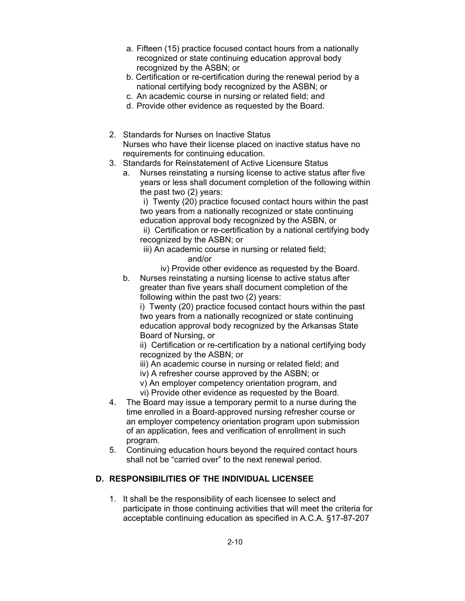- a. Fifteen (15) practice focused contact hours from a nationally recognized or state continuing education approval body recognized by the ASBN; or
- b. Certification or re-certification during the renewal period by a national certifying body recognized by the ASBN; or
- c. An academic course in nursing or related field; and
- d. Provide other evidence as requested by the Board.
- 2. Standards for Nurses on Inactive Status Nurses who have their license placed on inactive status have no requirements for continuing education.
- 3. Standards for Reinstatement of Active Licensure Status
	- a. Nurses reinstating a nursing license to active status after five years or less shall document completion of the following within the past two (2) years:

i) Twenty (20) practice focused contact hours within the past two years from a nationally recognized or state continuing education approval body recognized by the ASBN, or

ii) Certification or re-certification by a national certifying body recognized by the ASBN; or

iii) An academic course in nursing or related field;

and/or

- iv) Provide other evidence as requested by the Board.
- b. Nurses reinstating a nursing license to active status after greater than five years shall document completion of the following within the past two (2) years:

i) Twenty (20) practice focused contact hours within the past two years from a nationally recognized or state continuing education approval body recognized by the Arkansas State Board of Nursing, or

ii) Certification or re-certification by a national certifying body recognized by the ASBN; or

iii) An academic course in nursing or related field; and

iv) A refresher course approved by the ASBN; or

v) An employer competency orientation program, and

- vi) Provide other evidence as requested by the Board.
- 4. The Board may issue a temporary permit to a nurse during the time enrolled in a Board-approved nursing refresher course or an employer competency orientation program upon submission of an application, fees and verification of enrollment in such program.
- 5. Continuing education hours beyond the required contact hours shall not be "carried over" to the next renewal period.

# **D. RESPONSIBILITIES OF THE INDIVIDUAL LICENSEE**

1. It shall be the responsibility of each licensee to select and participate in those continuing activities that will meet the criteria for acceptable continuing education as specified in A.C.A. §17-87-207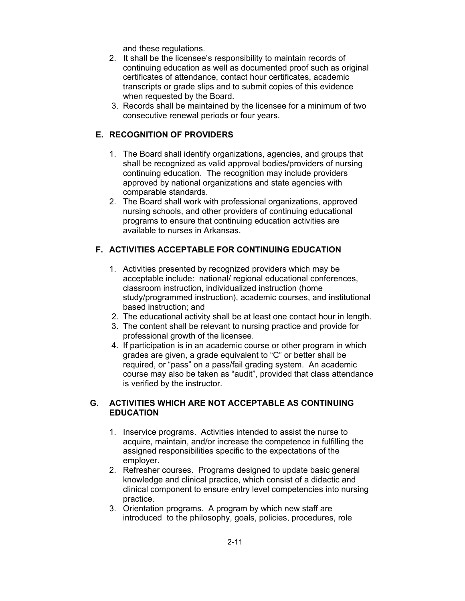and these regulations.

- 2. It shall be the licensee's responsibility to maintain records of continuing education as well as documented proof such as original certificates of attendance, contact hour certificates, academic transcripts or grade slips and to submit copies of this evidence when requested by the Board.
- 3. Records shall be maintained by the licensee for a minimum of two consecutive renewal periods or four years.

# **E. RECOGNITION OF PROVIDERS**

- 1. The Board shall identify organizations, agencies, and groups that shall be recognized as valid approval bodies/providers of nursing continuing education. The recognition may include providers approved by national organizations and state agencies with comparable standards.
- 2. The Board shall work with professional organizations, approved nursing schools, and other providers of continuing educational programs to ensure that continuing education activities are available to nurses in Arkansas.

# **F. ACTIVITIES ACCEPTABLE FOR CONTINUING EDUCATION**

- 1. Activities presented by recognized providers which may be acceptable include: national/ regional educational conferences, classroom instruction, individualized instruction (home study/programmed instruction), academic courses, and institutional based instruction; and
- 2. The educational activity shall be at least one contact hour in length.
- 3. The content shall be relevant to nursing practice and provide for professional growth of the licensee.
- 4. If participation is in an academic course or other program in which grades are given, a grade equivalent to "C" or better shall be required, or "pass" on a pass/fail grading system. An academic course may also be taken as "audit", provided that class attendance is verified by the instructor.

### **G. ACTIVITIES WHICH ARE NOT ACCEPTABLE AS CONTINUING EDUCATION**

- 1. Inservice programs. Activities intended to assist the nurse to acquire, maintain, and/or increase the competence in fulfilling the assigned responsibilities specific to the expectations of the employer.
- 2. Refresher courses. Programs designed to update basic general knowledge and clinical practice, which consist of a didactic and clinical component to ensure entry level competencies into nursing practice.
- 3. Orientation programs. A program by which new staff are introduced to the philosophy, goals, policies, procedures, role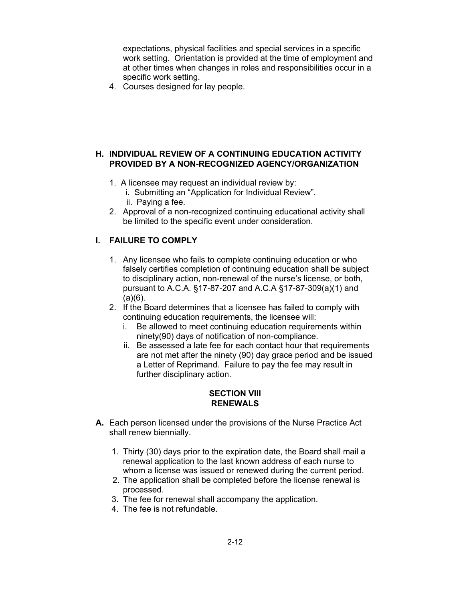expectations, physical facilities and special services in a specific work setting. Orientation is provided at the time of employment and at other times when changes in roles and responsibilities occur in a specific work setting.

4. Courses designed for lay people.

#### **H. INDIVIDUAL REVIEW OF A CONTINUING EDUCATION ACTIVITY PROVIDED BY A NON-RECOGNIZED AGENCY/ORGANIZATION**

- 1. A licensee may request an individual review by:
	- i. Submitting an "Application for Individual Review".
	- ii. Paying a fee.
- 2. Approval of a non-recognized continuing educational activity shall be limited to the specific event under consideration.

### **I. FAILURE TO COMPLY**

- 1. Any licensee who fails to complete continuing education or who falsely certifies completion of continuing education shall be subject to disciplinary action, non-renewal of the nurse's license, or both, pursuant to A.C.A. §17-87-207 and A.C.A §17-87-309(a)(1) and  $(a)(6)$ .
- 2. If the Board determines that a licensee has failed to comply with continuing education requirements, the licensee will:
	- i. Be allowed to meet continuing education requirements within ninety(90) days of notification of non-compliance.
	- ii. Be assessed a late fee for each contact hour that requirements are not met after the ninety (90) day grace period and be issued a Letter of Reprimand. Failure to pay the fee may result in further disciplinary action.

### **SECTION VIII RENEWALS**

- **A.** Each person licensed under the provisions of the Nurse Practice Act shall renew biennially.
	- 1. Thirty (30) days prior to the expiration date, the Board shall mail a renewal application to the last known address of each nurse to whom a license was issued or renewed during the current period.
	- 2. The application shall be completed before the license renewal is processed.
	- 3. The fee for renewal shall accompany the application.
	- 4. The fee is not refundable.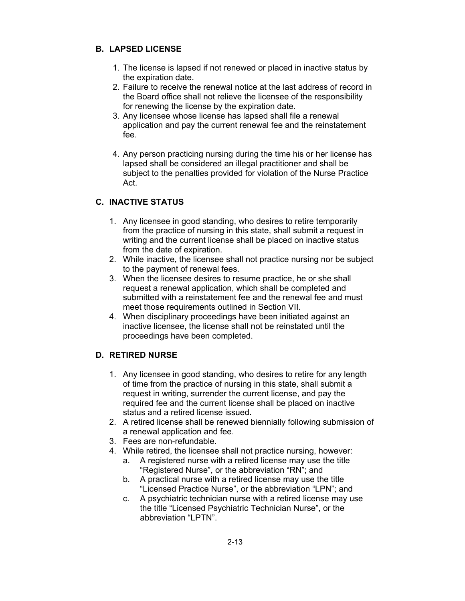# **B. LAPSED LICENSE**

- 1. The license is lapsed if not renewed or placed in inactive status by the expiration date.
- 2. Failure to receive the renewal notice at the last address of record in the Board office shall not relieve the licensee of the responsibility for renewing the license by the expiration date.
- 3. Any licensee whose license has lapsed shall file a renewal application and pay the current renewal fee and the reinstatement fee.
- 4. Any person practicing nursing during the time his or her license has lapsed shall be considered an illegal practitioner and shall be subject to the penalties provided for violation of the Nurse Practice Act.

# **C. INACTIVE STATUS**

- 1. Any licensee in good standing, who desires to retire temporarily from the practice of nursing in this state, shall submit a request in writing and the current license shall be placed on inactive status from the date of expiration.
- 2. While inactive, the licensee shall not practice nursing nor be subject to the payment of renewal fees.
- 3. When the licensee desires to resume practice, he or she shall request a renewal application, which shall be completed and submitted with a reinstatement fee and the renewal fee and must meet those requirements outlined in Section VII.
- 4. When disciplinary proceedings have been initiated against an inactive licensee, the license shall not be reinstated until the proceedings have been completed.

# **D. RETIRED NURSE**

- 1. Any licensee in good standing, who desires to retire for any length of time from the practice of nursing in this state, shall submit a request in writing, surrender the current license, and pay the required fee and the current license shall be placed on inactive status and a retired license issued.
- 2. A retired license shall be renewed biennially following submission of a renewal application and fee.
- 3. Fees are non-refundable.
- 4. While retired, the licensee shall not practice nursing, however:
	- a. A registered nurse with a retired license may use the title "Registered Nurse", or the abbreviation "RN"; and
	- b. A practical nurse with a retired license may use the title "Licensed Practice Nurse", or the abbreviation "LPN"; and
	- c. A psychiatric technician nurse with a retired license may use the title "Licensed Psychiatric Technician Nurse", or the abbreviation "LPTN".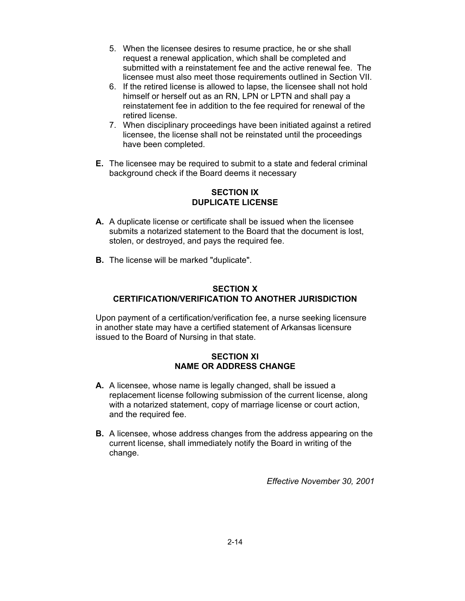- 5. When the licensee desires to resume practice, he or she shall request a renewal application, which shall be completed and submitted with a reinstatement fee and the active renewal fee. The licensee must also meet those requirements outlined in Section VII.
- 6. If the retired license is allowed to lapse, the licensee shall not hold himself or herself out as an RN, LPN or LPTN and shall pay a reinstatement fee in addition to the fee required for renewal of the retired license.
- 7. When disciplinary proceedings have been initiated against a retired licensee, the license shall not be reinstated until the proceedings have been completed.
- **E.** The licensee may be required to submit to a state and federal criminal background check if the Board deems it necessary

### **SECTION IX DUPLICATE LICENSE**

- **A.** A duplicate license or certificate shall be issued when the licensee submits a notarized statement to the Board that the document is lost, stolen, or destroyed, and pays the required fee.
- **B.** The license will be marked "duplicate".

### **SECTION X CERTIFICATION/VERIFICATION TO ANOTHER JURISDICTION**

Upon payment of a certification/verification fee, a nurse seeking licensure in another state may have a certified statement of Arkansas licensure issued to the Board of Nursing in that state.

### **SECTION XI NAME OR ADDRESS CHANGE**

- **A.** A licensee, whose name is legally changed, shall be issued a replacement license following submission of the current license, along with a notarized statement, copy of marriage license or court action, and the required fee.
- **B.** A licensee, whose address changes from the address appearing on the current license, shall immediately notify the Board in writing of the change.

*Effective November 30, 2001*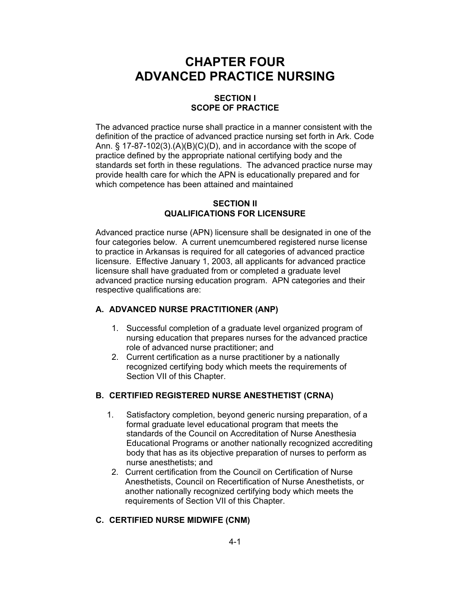# **CHAPTER FOUR ADVANCED PRACTICE NURSING**

### **SECTION I SCOPE OF PRACTICE**

The advanced practice nurse shall practice in a manner consistent with the definition of the practice of advanced practice nursing set forth in Ark. Code Ann.  $\S$  17-87-102(3).(A)(B)(C)(D), and in accordance with the scope of practice defined by the appropriate national certifying body and the standards set forth in these regulations. The advanced practice nurse may provide health care for which the APN is educationally prepared and for which competence has been attained and maintained

#### **SECTION II QUALIFICATIONS FOR LICENSURE**

Advanced practice nurse (APN) licensure shall be designated in one of the four categories below. A current unemcumbered registered nurse license to practice in Arkansas is required for all categories of advanced practice licensure. Effective January 1, 2003, all applicants for advanced practice licensure shall have graduated from or completed a graduate level advanced practice nursing education program. APN categories and their respective qualifications are:

### **A. ADVANCED NURSE PRACTITIONER (ANP)**

- 1. Successful completion of a graduate level organized program of nursing education that prepares nurses for the advanced practice role of advanced nurse practitioner; and
- 2. Current certification as a nurse practitioner by a nationally recognized certifying body which meets the requirements of Section VII of this Chapter.

# **B. CERTIFIED REGISTERED NURSE ANESTHETIST (CRNA)**

- 1. Satisfactory completion, beyond generic nursing preparation, of a formal graduate level educational program that meets the standards of the Council on Accreditation of Nurse Anesthesia Educational Programs or another nationally recognized accrediting body that has as its objective preparation of nurses to perform as nurse anesthetists; and
- 2. Current certification from the Council on Certification of Nurse Anesthetists, Council on Recertification of Nurse Anesthetists, or another nationally recognized certifying body which meets the requirements of Section VII of this Chapter.

### **C. CERTIFIED NURSE MIDWIFE (CNM)**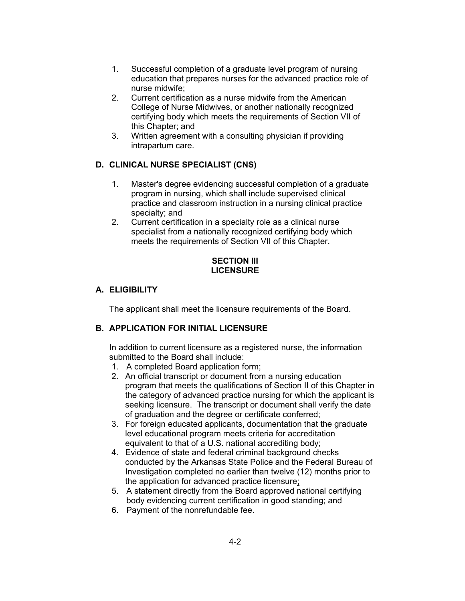- 1. Successful completion of a graduate level program of nursing education that prepares nurses for the advanced practice role of nurse midwife;
- 2. Current certification as a nurse midwife from the American College of Nurse Midwives, or another nationally recognized certifying body which meets the requirements of Section VII of this Chapter; and
- 3. Written agreement with a consulting physician if providing intrapartum care.

# **D. CLINICAL NURSE SPECIALIST (CNS)**

- 1. Master's degree evidencing successful completion of a graduate program in nursing, which shall include supervised clinical practice and classroom instruction in a nursing clinical practice specialty; and
- 2. Current certification in a specialty role as a clinical nurse specialist from a nationally recognized certifying body which meets the requirements of Section VII of this Chapter.

### **SECTION III LICENSURE**

# **A. ELIGIBILITY**

The applicant shall meet the licensure requirements of the Board.

# **B. APPLICATION FOR INITIAL LICENSURE**

In addition to current licensure as a registered nurse, the information submitted to the Board shall include:

- 1. A completed Board application form;
- 2. An official transcript or document from a nursing education program that meets the qualifications of Section II of this Chapter in the category of advanced practice nursing for which the applicant is seeking licensure. The transcript or document shall verify the date of graduation and the degree or certificate conferred;
- 3. For foreign educated applicants, documentation that the graduate level educational program meets criteria for accreditation equivalent to that of a U.S. national accrediting body;
- 4. Evidence of state and federal criminal background checks conducted by the Arkansas State Police and the Federal Bureau of Investigation completed no earlier than twelve (12) months prior to the application for advanced practice licensure;
- 5. A statement directly from the Board approved national certifying body evidencing current certification in good standing; and
- 6. Payment of the nonrefundable fee.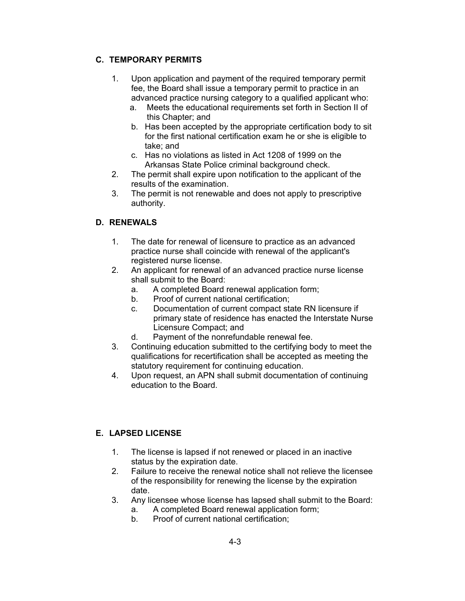### **C. TEMPORARY PERMITS**

- 1. Upon application and payment of the required temporary permit fee, the Board shall issue a temporary permit to practice in an advanced practice nursing category to a qualified applicant who:
	- a. Meets the educational requirements set forth in Section II of this Chapter; and
	- b. Has been accepted by the appropriate certification body to sit for the first national certification exam he or she is eligible to take; and
	- c. Has no violations as listed in Act 1208 of 1999 on the Arkansas State Police criminal background check.
- 2. The permit shall expire upon notification to the applicant of the results of the examination.
- 3. The permit is not renewable and does not apply to prescriptive authority.

### **D. RENEWALS**

- 1. The date for renewal of licensure to practice as an advanced practice nurse shall coincide with renewal of the applicant's registered nurse license.
- 2. An applicant for renewal of an advanced practice nurse license shall submit to the Board:
	- a. A completed Board renewal application form;
	- b. Proof of current national certification;
	- c. Documentation of current compact state RN licensure if primary state of residence has enacted the Interstate Nurse Licensure Compact; and
	- d. Payment of the nonrefundable renewal fee.
- 3. Continuing education submitted to the certifying body to meet the qualifications for recertification shall be accepted as meeting the statutory requirement for continuing education.
- 4. Upon request, an APN shall submit documentation of continuing education to the Board.

# **E. LAPSED LICENSE**

- 1. The license is lapsed if not renewed or placed in an inactive status by the expiration date.
- 2. Failure to receive the renewal notice shall not relieve the licensee of the responsibility for renewing the license by the expiration date.
- 3. Any licensee whose license has lapsed shall submit to the Board: a. A completed Board renewal application form;
	- b. Proof of current national certification;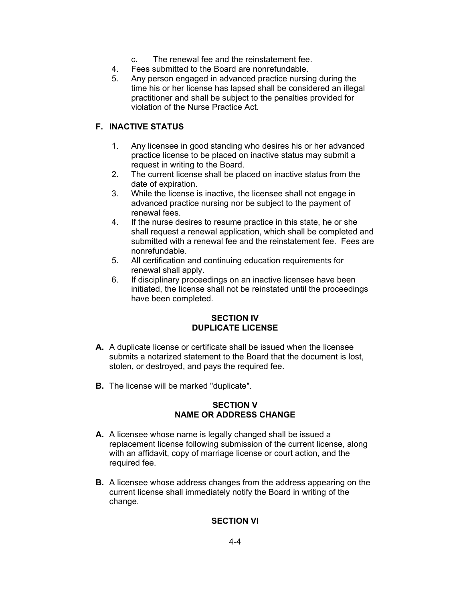- c. The renewal fee and the reinstatement fee.
- 4. Fees submitted to the Board are nonrefundable.
- 5. Any person engaged in advanced practice nursing during the time his or her license has lapsed shall be considered an illegal practitioner and shall be subject to the penalties provided for violation of the Nurse Practice Act.

# **F. INACTIVE STATUS**

- 1. Any licensee in good standing who desires his or her advanced practice license to be placed on inactive status may submit a request in writing to the Board.
- 2. The current license shall be placed on inactive status from the date of expiration.
- 3. While the license is inactive, the licensee shall not engage in advanced practice nursing nor be subject to the payment of renewal fees.
- 4. If the nurse desires to resume practice in this state, he or she shall request a renewal application, which shall be completed and submitted with a renewal fee and the reinstatement fee. Fees are nonrefundable.
- 5. All certification and continuing education requirements for renewal shall apply.
- 6. If disciplinary proceedings on an inactive licensee have been initiated, the license shall not be reinstated until the proceedings have been completed.

### **SECTION IV DUPLICATE LICENSE**

- **A.** A duplicate license or certificate shall be issued when the licensee submits a notarized statement to the Board that the document is lost, stolen, or destroyed, and pays the required fee.
- **B.** The license will be marked "duplicate".

# **SECTION V NAME OR ADDRESS CHANGE**

- **A.** A licensee whose name is legally changed shall be issued a replacement license following submission of the current license, along with an affidavit, copy of marriage license or court action, and the required fee.
- **B.** A licensee whose address changes from the address appearing on the current license shall immediately notify the Board in writing of the change.

# **SECTION VI**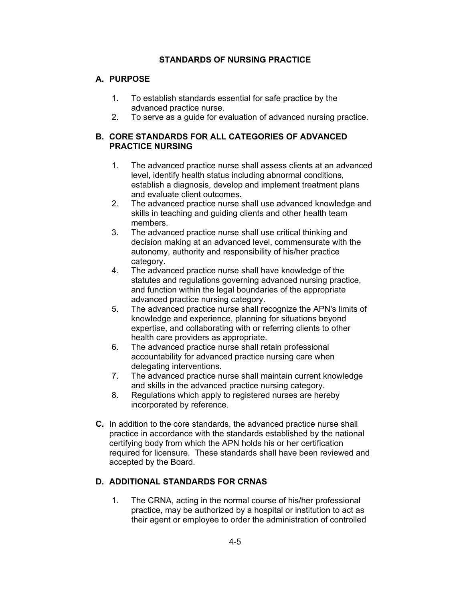### **STANDARDS OF NURSING PRACTICE**

### **A. PURPOSE**

- 1. To establish standards essential for safe practice by the advanced practice nurse.
- 2. To serve as a guide for evaluation of advanced nursing practice.

### **B. CORE STANDARDS FOR ALL CATEGORIES OF ADVANCED PRACTICE NURSING**

- 1. The advanced practice nurse shall assess clients at an advanced level, identify health status including abnormal conditions, establish a diagnosis, develop and implement treatment plans and evaluate client outcomes.
- 2. The advanced practice nurse shall use advanced knowledge and skills in teaching and guiding clients and other health team members.
- 3. The advanced practice nurse shall use critical thinking and decision making at an advanced level, commensurate with the autonomy, authority and responsibility of his/her practice category.
- 4. The advanced practice nurse shall have knowledge of the statutes and regulations governing advanced nursing practice, and function within the legal boundaries of the appropriate advanced practice nursing category.
- 5. The advanced practice nurse shall recognize the APN's limits of knowledge and experience, planning for situations beyond expertise, and collaborating with or referring clients to other health care providers as appropriate.
- 6. The advanced practice nurse shall retain professional accountability for advanced practice nursing care when delegating interventions.
- 7. The advanced practice nurse shall maintain current knowledge and skills in the advanced practice nursing category.
- 8. Regulations which apply to registered nurses are hereby incorporated by reference.
- **C.** In addition to the core standards, the advanced practice nurse shall practice in accordance with the standards established by the national certifying body from which the APN holds his or her certification required for licensure. These standards shall have been reviewed and accepted by the Board.

### **D. ADDITIONAL STANDARDS FOR CRNAS**

 1. The CRNA, acting in the normal course of his/her professional practice, may be authorized by a hospital or institution to act as their agent or employee to order the administration of controlled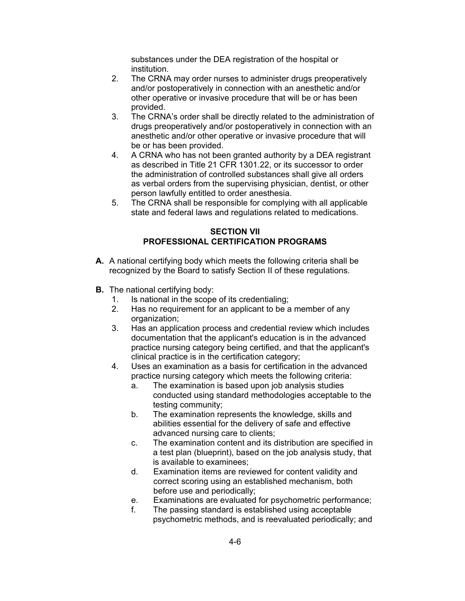substances under the DEA registration of the hospital or institution.

- 2. The CRNA may order nurses to administer drugs preoperatively and/or postoperatively in connection with an anesthetic and/or other operative or invasive procedure that will be or has been provided.
- 3. The CRNA's order shall be directly related to the administration of drugs preoperatively and/or postoperatively in connection with an anesthetic and/or other operative or invasive procedure that will be or has been provided.
- 4. A CRNA who has not been granted authority by a DEA registrant as described in Title 21 CFR 1301.22, or its successor to order the administration of controlled substances shall give all orders as verbal orders from the supervising physician, dentist, or other person lawfully entitled to order anesthesia.
- 5. The CRNA shall be responsible for complying with all applicable state and federal laws and regulations related to medications.

### **SECTION VII PROFESSIONAL CERTIFICATION PROGRAMS**

- **A.** A national certifying body which meets the following criteria shall be recognized by the Board to satisfy Section II of these regulations.
- **B.** The national certifying body:
	- 1. Is national in the scope of its credentialing;
	- 2. Has no requirement for an applicant to be a member of any organization;
	- 3. Has an application process and credential review which includes documentation that the applicant's education is in the advanced practice nursing category being certified, and that the applicant's clinical practice is in the certification category;
	- 4. Uses an examination as a basis for certification in the advanced practice nursing category which meets the following criteria:
		- a. The examination is based upon job analysis studies conducted using standard methodologies acceptable to the testing community;
		- b. The examination represents the knowledge, skills and abilities essential for the delivery of safe and effective advanced nursing care to clients;
		- c. The examination content and its distribution are specified in a test plan (blueprint), based on the job analysis study, that is available to examinees;
		- d. Examination items are reviewed for content validity and correct scoring using an established mechanism, both before use and periodically;
		- e. Examinations are evaluated for psychometric performance;
		- f. The passing standard is established using acceptable psychometric methods, and is reevaluated periodically; and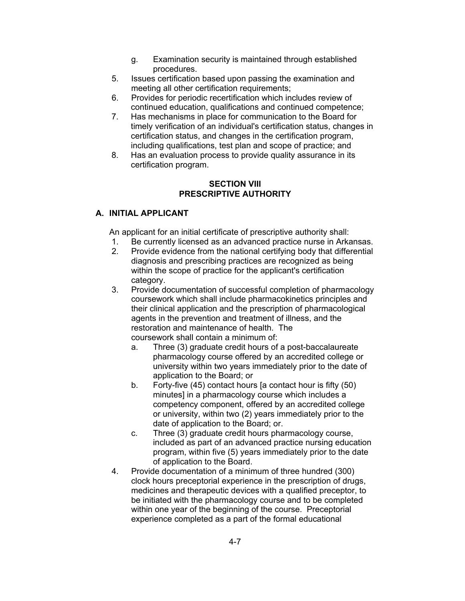- g. Examination security is maintained through established procedures.
- 5. Issues certification based upon passing the examination and meeting all other certification requirements;
- 6. Provides for periodic recertification which includes review of continued education, qualifications and continued competence;
- 7. Has mechanisms in place for communication to the Board for timely verification of an individual's certification status, changes in certification status, and changes in the certification program, including qualifications, test plan and scope of practice; and
- 8. Has an evaluation process to provide quality assurance in its certification program.

### **SECTION VIII PRESCRIPTIVE AUTHORITY**

# **A. INITIAL APPLICANT**

An applicant for an initial certificate of prescriptive authority shall:

- 1. Be currently licensed as an advanced practice nurse in Arkansas.
- 2. Provide evidence from the national certifying body that differential diagnosis and prescribing practices are recognized as being within the scope of practice for the applicant's certification category.
- 3. Provide documentation of successful completion of pharmacology coursework which shall include pharmacokinetics principles and their clinical application and the prescription of pharmacological agents in the prevention and treatment of illness, and the restoration and maintenance of health. The coursework shall contain a minimum of:
	- a. Three (3) graduate credit hours of a post-baccalaureate pharmacology course offered by an accredited college or university within two years immediately prior to the date of application to the Board; or
	- b. Forty-five (45) contact hours [a contact hour is fifty (50) minutes] in a pharmacology course which includes a competency component, offered by an accredited college or university, within two (2) years immediately prior to the date of application to the Board; or.
	- c. Three (3) graduate credit hours pharmacology course, included as part of an advanced practice nursing education program, within five (5) years immediately prior to the date of application to the Board.
- 4. Provide documentation of a minimum of three hundred (300) clock hours preceptorial experience in the prescription of drugs, medicines and therapeutic devices with a qualified preceptor, to be initiated with the pharmacology course and to be completed within one year of the beginning of the course. Preceptorial experience completed as a part of the formal educational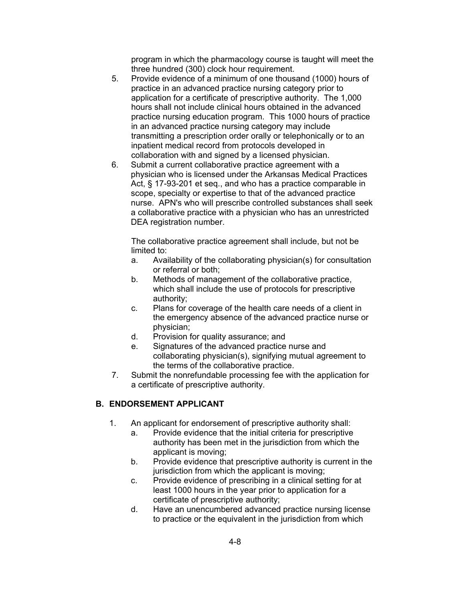program in which the pharmacology course is taught will meet the three hundred (300) clock hour requirement.

- 5. Provide evidence of a minimum of one thousand (1000) hours of practice in an advanced practice nursing category prior to application for a certificate of prescriptive authority. The 1,000 hours shall not include clinical hours obtained in the advanced practice nursing education program. This 1000 hours of practice in an advanced practice nursing category may include transmitting a prescription order orally or telephonically or to an inpatient medical record from protocols developed in collaboration with and signed by a licensed physician.
- 6. Submit a current collaborative practice agreement with a physician who is licensed under the Arkansas Medical Practices Act, § 17-93-201 et seq., and who has a practice comparable in scope, specialty or expertise to that of the advanced practice nurse. APN's who will prescribe controlled substances shall seek a collaborative practice with a physician who has an unrestricted DEA registration number.

The collaborative practice agreement shall include, but not be limited to:

- a. Availability of the collaborating physician(s) for consultation or referral or both;
- b. Methods of management of the collaborative practice, which shall include the use of protocols for prescriptive authority;
- c. Plans for coverage of the health care needs of a client in the emergency absence of the advanced practice nurse or physician;
- d. Provision for quality assurance; and
- e. Signatures of the advanced practice nurse and collaborating physician(s), signifying mutual agreement to the terms of the collaborative practice.
- 7. Submit the nonrefundable processing fee with the application for a certificate of prescriptive authority.

# **B. ENDORSEMENT APPLICANT**

- 1. An applicant for endorsement of prescriptive authority shall:
	- a. Provide evidence that the initial criteria for prescriptive authority has been met in the jurisdiction from which the applicant is moving;
	- b. Provide evidence that prescriptive authority is current in the jurisdiction from which the applicant is moving;
	- c. Provide evidence of prescribing in a clinical setting for at least 1000 hours in the year prior to application for a certificate of prescriptive authority;
	- d. Have an unencumbered advanced practice nursing license to practice or the equivalent in the jurisdiction from which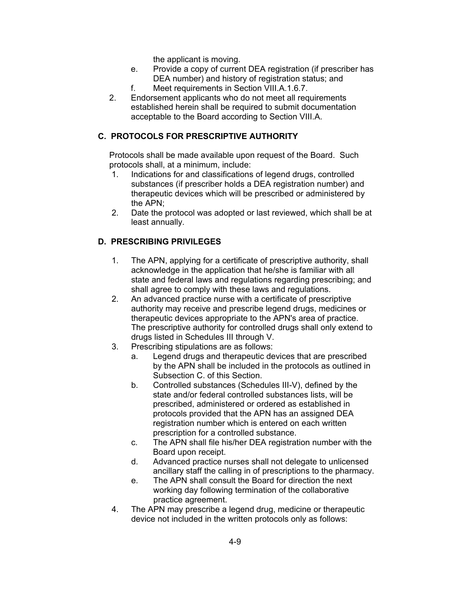the applicant is moving.

- e. Provide a copy of current DEA registration (if prescriber has DEA number) and history of registration status; and
- f. Meet requirements in Section VIII.A.1.6.7.
- 2. Endorsement applicants who do not meet all requirements established herein shall be required to submit documentation acceptable to the Board according to Section VIII.A.

# **C. PROTOCOLS FOR PRESCRIPTIVE AUTHORITY**

Protocols shall be made available upon request of the Board. Such protocols shall, at a minimum, include:

- 1. Indications for and classifications of legend drugs, controlled substances (if prescriber holds a DEA registration number) and therapeutic devices which will be prescribed or administered by the APN;
- 2. Date the protocol was adopted or last reviewed, which shall be at least annually.

# **D. PRESCRIBING PRIVILEGES**

- 1. The APN, applying for a certificate of prescriptive authority, shall acknowledge in the application that he/she is familiar with all state and federal laws and regulations regarding prescribing; and shall agree to comply with these laws and regulations.
- 2. An advanced practice nurse with a certificate of prescriptive authority may receive and prescribe legend drugs, medicines or therapeutic devices appropriate to the APN's area of practice. The prescriptive authority for controlled drugs shall only extend to drugs listed in Schedules III through V.
- 3. Prescribing stipulations are as follows:
	- a. Legend drugs and therapeutic devices that are prescribed by the APN shall be included in the protocols as outlined in Subsection C. of this Section.
	- b. Controlled substances (Schedules III-V), defined by the state and/or federal controlled substances lists, will be prescribed, administered or ordered as established in protocols provided that the APN has an assigned DEA registration number which is entered on each written prescription for a controlled substance.
	- c. The APN shall file his/her DEA registration number with the Board upon receipt.
	- d. Advanced practice nurses shall not delegate to unlicensed ancillary staff the calling in of prescriptions to the pharmacy.
	- e. The APN shall consult the Board for direction the next working day following termination of the collaborative practice agreement.
- 4. The APN may prescribe a legend drug, medicine or therapeutic device not included in the written protocols only as follows: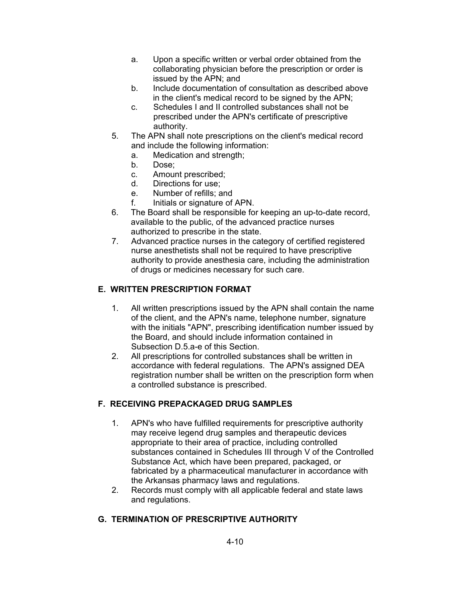- a. Upon a specific written or verbal order obtained from the collaborating physician before the prescription or order is issued by the APN; and
- b. Include documentation of consultation as described above in the client's medical record to be signed by the APN;
- c. Schedules I and II controlled substances shall not be prescribed under the APN's certificate of prescriptive authority.
- 5. The APN shall note prescriptions on the client's medical record and include the following information:
	- a. Medication and strength;
	- b. Dose;
	- c. Amount prescribed;
	- d. Directions for use;
	- e. Number of refills; and
	- f. Initials or signature of APN.
- 6. The Board shall be responsible for keeping an up-to-date record, available to the public, of the advanced practice nurses authorized to prescribe in the state.
- 7. Advanced practice nurses in the category of certified registered nurse anesthetists shall not be required to have prescriptive authority to provide anesthesia care, including the administration of drugs or medicines necessary for such care.

# **E. WRITTEN PRESCRIPTION FORMAT**

- 1. All written prescriptions issued by the APN shall contain the name of the client, and the APN's name, telephone number, signature with the initials "APN", prescribing identification number issued by the Board, and should include information contained in Subsection D.5.a-e of this Section.
- 2. All prescriptions for controlled substances shall be written in accordance with federal regulations. The APN's assigned DEA registration number shall be written on the prescription form when a controlled substance is prescribed.

# **F. RECEIVING PREPACKAGED DRUG SAMPLES**

- 1. APN's who have fulfilled requirements for prescriptive authority may receive legend drug samples and therapeutic devices appropriate to their area of practice, including controlled substances contained in Schedules III through V of the Controlled Substance Act, which have been prepared, packaged, or fabricated by a pharmaceutical manufacturer in accordance with the Arkansas pharmacy laws and regulations.
- 2. Records must comply with all applicable federal and state laws and regulations.

# **G. TERMINATION OF PRESCRIPTIVE AUTHORITY**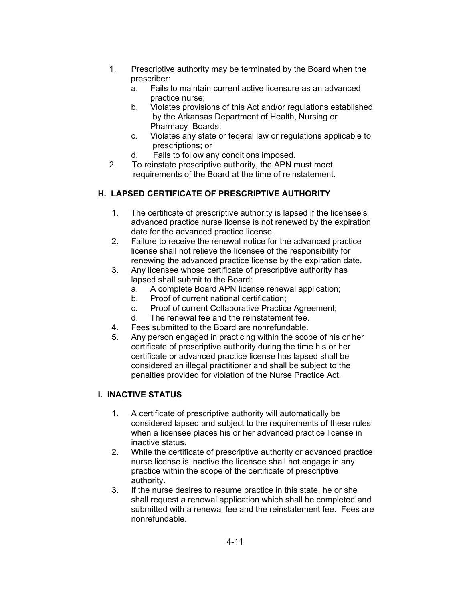- 1. Prescriptive authority may be terminated by the Board when the prescriber:
	- a. Fails to maintain current active licensure as an advanced practice nurse;
	- b. Violates provisions of this Act and/or regulations established by the Arkansas Department of Health, Nursing or Pharmacy Boards;
	- c. Violates any state or federal law or regulations applicable to prescriptions; or
	- d. Fails to follow any conditions imposed.
- 2. To reinstate prescriptive authority, the APN must meet requirements of the Board at the time of reinstatement.

# **H. LAPSED CERTIFICATE OF PRESCRIPTIVE AUTHORITY**

- 1. The certificate of prescriptive authority is lapsed if the licensee's advanced practice nurse license is not renewed by the expiration date for the advanced practice license.
- 2. Failure to receive the renewal notice for the advanced practice license shall not relieve the licensee of the responsibility for renewing the advanced practice license by the expiration date.
- 3. Any licensee whose certificate of prescriptive authority has lapsed shall submit to the Board:
	- a. A complete Board APN license renewal application;
	- b. Proof of current national certification;
	- c. Proof of current Collaborative Practice Agreement;
	- d. The renewal fee and the reinstatement fee.
- 4. Fees submitted to the Board are nonrefundable.
- 5. Any person engaged in practicing within the scope of his or her certificate of prescriptive authority during the time his or her certificate or advanced practice license has lapsed shall be considered an illegal practitioner and shall be subject to the penalties provided for violation of the Nurse Practice Act.

# **I. INACTIVE STATUS**

- 1. A certificate of prescriptive authority will automatically be considered lapsed and subject to the requirements of these rules when a licensee places his or her advanced practice license in inactive status.
- 2. While the certificate of prescriptive authority or advanced practice nurse license is inactive the licensee shall not engage in any practice within the scope of the certificate of prescriptive authority.
- 3. If the nurse desires to resume practice in this state, he or she shall request a renewal application which shall be completed and submitted with a renewal fee and the reinstatement fee. Fees are nonrefundable.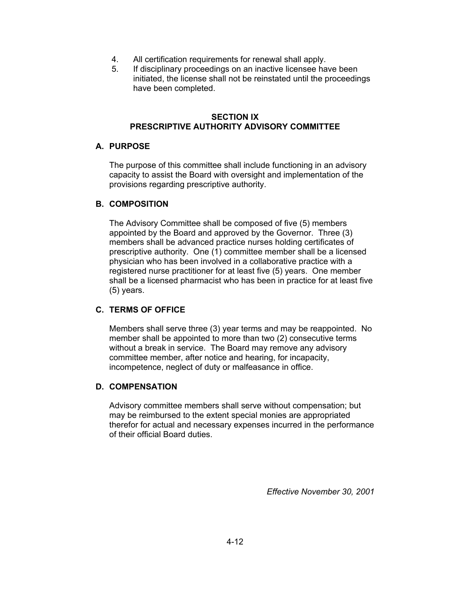- 4. All certification requirements for renewal shall apply.
- 5. If disciplinary proceedings on an inactive licensee have been initiated, the license shall not be reinstated until the proceedings have been completed.

### **SECTION IX PRESCRIPTIVE AUTHORITY ADVISORY COMMITTEE**

### **A. PURPOSE**

The purpose of this committee shall include functioning in an advisory capacity to assist the Board with oversight and implementation of the provisions regarding prescriptive authority.

### **B. COMPOSITION**

The Advisory Committee shall be composed of five (5) members appointed by the Board and approved by the Governor. Three (3) members shall be advanced practice nurses holding certificates of prescriptive authority. One (1) committee member shall be a licensed physician who has been involved in a collaborative practice with a registered nurse practitioner for at least five (5) years. One member shall be a licensed pharmacist who has been in practice for at least five (5) years.

# **C. TERMS OF OFFICE**

Members shall serve three (3) year terms and may be reappointed. No member shall be appointed to more than two (2) consecutive terms without a break in service. The Board may remove any advisory committee member, after notice and hearing, for incapacity, incompetence, neglect of duty or malfeasance in office.

# **D. COMPENSATION**

Advisory committee members shall serve without compensation; but may be reimbursed to the extent special monies are appropriated therefor for actual and necessary expenses incurred in the performance of their official Board duties.

*Effective November 30, 2001*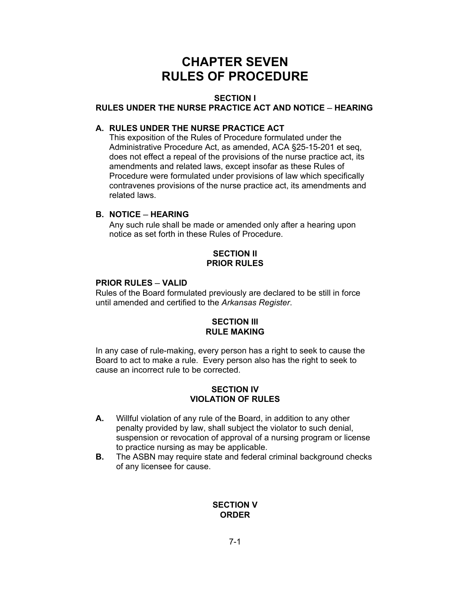# **CHAPTER SEVEN RULES OF PROCEDURE**

#### **SECTION I**

### **RULES UNDER THE NURSE PRACTICE ACT AND NOTICE ─ HEARING**

#### **A. RULES UNDER THE NURSE PRACTICE ACT**

This exposition of the Rules of Procedure formulated under the Administrative Procedure Act, as amended, ACA §25-15-201 et seq, does not effect a repeal of the provisions of the nurse practice act, its amendments and related laws, except insofar as these Rules of Procedure were formulated under provisions of law which specifically contravenes provisions of the nurse practice act, its amendments and related laws.

### **B. NOTICE ─ HEARING**

Any such rule shall be made or amended only after a hearing upon notice as set forth in these Rules of Procedure.

### **SECTION II PRIOR RULES**

#### **PRIOR RULES ─ VALID**

Rules of the Board formulated previously are declared to be still in force until amended and certified to the *Arkansas Register*.

### **SECTION III RULE MAKING**

In any case of rule-making, every person has a right to seek to cause the Board to act to make a rule. Every person also has the right to seek to cause an incorrect rule to be corrected.

### **SECTION IV VIOLATION OF RULES**

- **A.** Willful violation of any rule of the Board, in addition to any other penalty provided by law, shall subject the violator to such denial, suspension or revocation of approval of a nursing program or license to practice nursing as may be applicable.
- **B.** The ASBN may require state and federal criminal background checks of any licensee for cause.

### **SECTION V ORDER**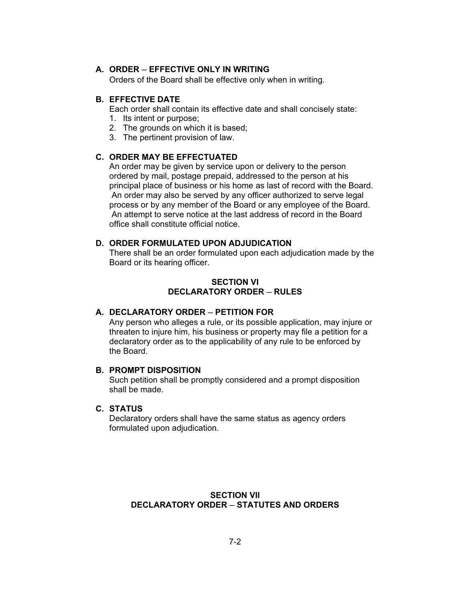#### **A. ORDER ─ EFFECTIVE ONLY IN WRITING**

Orders of the Board shall be effective only when in writing.

#### **B. EFFECTIVE DATE**

Each order shall contain its effective date and shall concisely state:

- 1. Its intent or purpose;
- 2. The grounds on which it is based;
- 3. The pertinent provision of law.

#### **C. ORDER MAY BE EFFECTUATED**

An order may be given by service upon or delivery to the person ordered by mail, postage prepaid, addressed to the person at his principal place of business or his home as last of record with the Board. An order may also be served by any officer authorized to serve legal process or by any member of the Board or any employee of the Board. An attempt to serve notice at the last address of record in the Board office shall constitute official notice.

#### **D. ORDER FORMULATED UPON ADJUDICATION**

There shall be an order formulated upon each adjudication made by the Board or its hearing officer.

#### **SECTION VI DECLARATORY ORDER ─ RULES**

#### **A. DECLARATORY ORDER ─ PETITION FOR**

Any person who alleges a rule, or its possible application, may injure or threaten to injure him, his business or property may file a petition for a declaratory order as to the applicability of any rule to be enforced by the Board.

#### **B. PROMPT DISPOSITION**

Such petition shall be promptly considered and a prompt disposition shall be made.

### **C. STATUS**

Declaratory orders shall have the same status as agency orders formulated upon adjudication.

### **SECTION VII DECLARATORY ORDER ─ STATUTES AND ORDERS**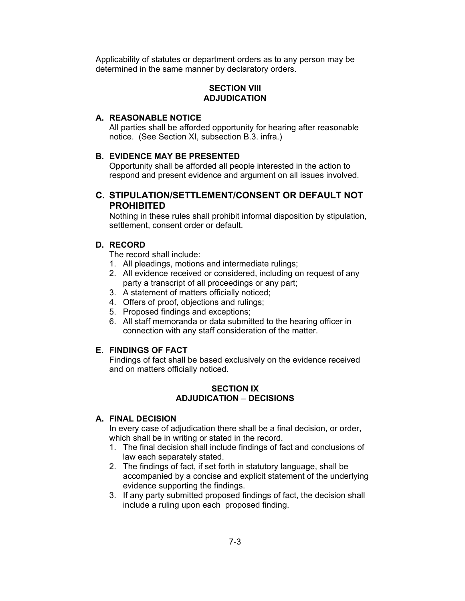Applicability of statutes or department orders as to any person may be determined in the same manner by declaratory orders.

#### **SECTION VIII ADJUDICATION**

### **A. REASONABLE NOTICE**

All parties shall be afforded opportunity for hearing after reasonable notice. (See Section XI, subsection B.3. infra.)

#### **B. EVIDENCE MAY BE PRESENTED**

Opportunity shall be afforded all people interested in the action to respond and present evidence and argument on all issues involved.

### **C. STIPULATION/SETTLEMENT/CONSENT OR DEFAULT NOT PROHIBITED**

Nothing in these rules shall prohibit informal disposition by stipulation, settlement, consent order or default.

#### **D. RECORD**

The record shall include:

- 1. All pleadings, motions and intermediate rulings;
- 2. All evidence received or considered, including on request of any party a transcript of all proceedings or any part;
- 3. A statement of matters officially noticed;
- 4. Offers of proof, objections and rulings;
- 5. Proposed findings and exceptions;
- 6. All staff memoranda or data submitted to the hearing officer in connection with any staff consideration of the matter.

#### **E. FINDINGS OF FACT**

Findings of fact shall be based exclusively on the evidence received and on matters officially noticed.

#### **SECTION IX ADJUDICATION ─ DECISIONS**

#### **A. FINAL DECISION**

In every case of adjudication there shall be a final decision, or order, which shall be in writing or stated in the record.

- 1. The final decision shall include findings of fact and conclusions of law each separately stated.
- 2. The findings of fact, if set forth in statutory language, shall be accompanied by a concise and explicit statement of the underlying evidence supporting the findings.
- 3. If any party submitted proposed findings of fact, the decision shall include a ruling upon each proposed finding.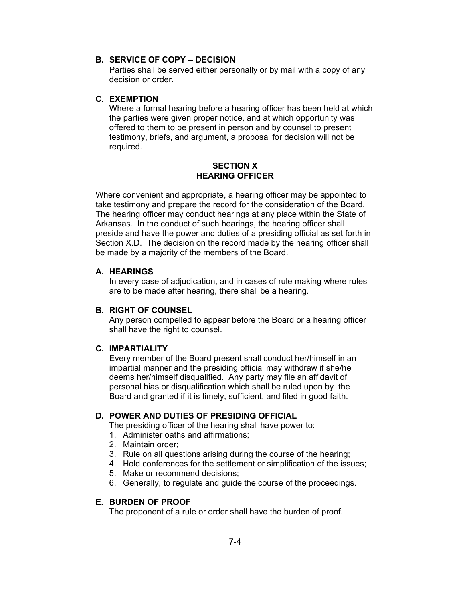### **B. SERVICE OF COPY ─ DECISION**

Parties shall be served either personally or by mail with a copy of any decision or order.

#### **C. EXEMPTION**

Where a formal hearing before a hearing officer has been held at which the parties were given proper notice, and at which opportunity was offered to them to be present in person and by counsel to present testimony, briefs, and argument, a proposal for decision will not be required.

#### **SECTION X HEARING OFFICER**

Where convenient and appropriate, a hearing officer may be appointed to take testimony and prepare the record for the consideration of the Board. The hearing officer may conduct hearings at any place within the State of Arkansas. In the conduct of such hearings, the hearing officer shall preside and have the power and duties of a presiding official as set forth in Section X.D. The decision on the record made by the hearing officer shall be made by a majority of the members of the Board.

#### **A. HEARINGS**

In every case of adjudication, and in cases of rule making where rules are to be made after hearing, there shall be a hearing.

#### **B. RIGHT OF COUNSEL**

Any person compelled to appear before the Board or a hearing officer shall have the right to counsel.

#### **C. IMPARTIALITY**

Every member of the Board present shall conduct her/himself in an impartial manner and the presiding official may withdraw if she/he deems her/himself disqualified. Any party may file an affidavit of personal bias or disqualification which shall be ruled upon by the Board and granted if it is timely, sufficient, and filed in good faith.

#### **D. POWER AND DUTIES OF PRESIDING OFFICIAL**

The presiding officer of the hearing shall have power to:

- 1. Administer oaths and affirmations;
- 2. Maintain order;
- 3. Rule on all questions arising during the course of the hearing;
- 4. Hold conferences for the settlement or simplification of the issues;
- 5. Make or recommend decisions;
- 6. Generally, to regulate and guide the course of the proceedings.

#### **E. BURDEN OF PROOF**

The proponent of a rule or order shall have the burden of proof.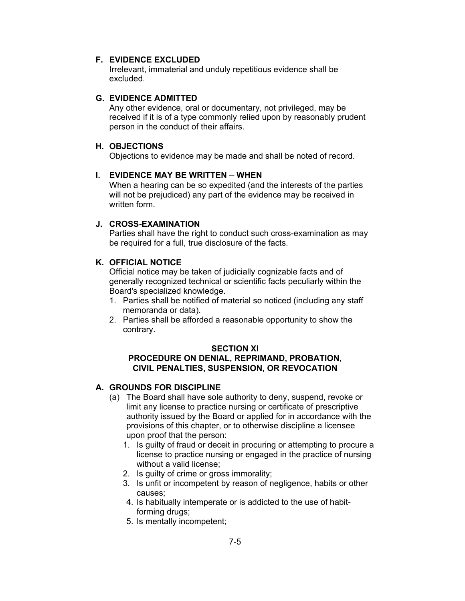#### **F. EVIDENCE EXCLUDED**

Irrelevant, immaterial and unduly repetitious evidence shall be excluded.

#### **G. EVIDENCE ADMITTED**

Any other evidence, oral or documentary, not privileged, may be received if it is of a type commonly relied upon by reasonably prudent person in the conduct of their affairs.

### **H. OBJECTIONS**

Objections to evidence may be made and shall be noted of record.

### **I. EVIDENCE MAY BE WRITTEN ─ WHEN**

When a hearing can be so expedited (and the interests of the parties will not be prejudiced) any part of the evidence may be received in written form.

### **J. CROSS-EXAMINATION**

Parties shall have the right to conduct such cross-examination as may be required for a full, true disclosure of the facts.

# **K. OFFICIAL NOTICE**

Official notice may be taken of judicially cognizable facts and of generally recognized technical or scientific facts peculiarly within the Board's specialized knowledge.

- 1. Parties shall be notified of material so noticed (including any staff memoranda or data).
- 2. Parties shall be afforded a reasonable opportunity to show the contrary.

#### **SECTION XI**

#### **PROCEDURE ON DENIAL, REPRIMAND, PROBATION, CIVIL PENALTIES, SUSPENSION, OR REVOCATION**

#### **A. GROUNDS FOR DISCIPLINE**

- (a) The Board shall have sole authority to deny, suspend, revoke or limit any license to practice nursing or certificate of prescriptive authority issued by the Board or applied for in accordance with the provisions of this chapter, or to otherwise discipline a licensee upon proof that the person:
	- 1. Is guilty of fraud or deceit in procuring or attempting to procure a license to practice nursing or engaged in the practice of nursing without a valid license;
	- 2. Is guilty of crime or gross immorality;
	- 3. Is unfit or incompetent by reason of negligence, habits or other causes;
	- 4. Is habitually intemperate or is addicted to the use of habitforming drugs;
	- 5. Is mentally incompetent;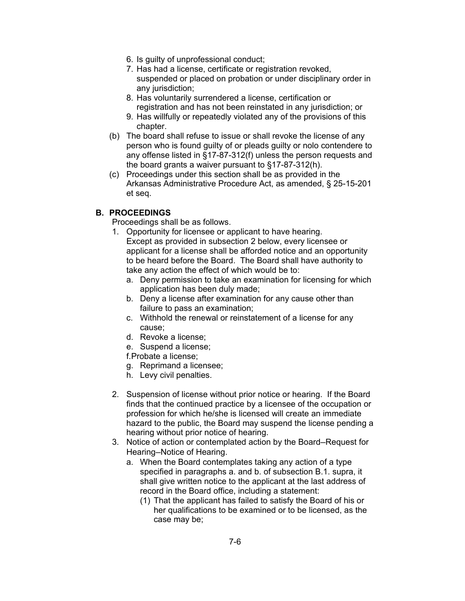- 6. Is guilty of unprofessional conduct;
- 7. Has had a license, certificate or registration revoked, suspended or placed on probation or under disciplinary order in any jurisdiction;
- 8. Has voluntarily surrendered a license, certification or registration and has not been reinstated in any jurisdiction; or
- 9. Has willfully or repeatedly violated any of the provisions of this chapter.
- (b) The board shall refuse to issue or shall revoke the license of any person who is found guilty of or pleads guilty or nolo contendere to any offense listed in §17-87-312(f) unless the person requests and the board grants a waiver pursuant to §17-87-312(h).
- (c) Proceedings under this section shall be as provided in the Arkansas Administrative Procedure Act, as amended, § 25-15-201 et seq.

### **B. PROCEEDINGS**

Proceedings shall be as follows.

- 1. Opportunity for licensee or applicant to have hearing. Except as provided in subsection 2 below, every licensee or applicant for a license shall be afforded notice and an opportunity to be heard before the Board. The Board shall have authority to take any action the effect of which would be to:
	- a. Deny permission to take an examination for licensing for which application has been duly made;
	- b. Deny a license after examination for any cause other than failure to pass an examination;
	- c. Withhold the renewal or reinstatement of a license for any cause;
	- d. Revoke a license;
	- e. Suspend a license;

f. Probate a license;

- g. Reprimand a licensee;
- h. Levy civil penalties.
- 2. Suspension of license without prior notice or hearing. If the Board finds that the continued practice by a licensee of the occupation or profession for which he/she is licensed will create an immediate hazard to the public, the Board may suspend the license pending a hearing without prior notice of hearing.
- 3. Notice of action or contemplated action by the Board─Request for Hearing─Notice of Hearing.
	- a. When the Board contemplates taking any action of a type specified in paragraphs a. and b. of subsection B.1. supra, it shall give written notice to the applicant at the last address of record in the Board office, including a statement:
		- (1) That the applicant has failed to satisfy the Board of his or her qualifications to be examined or to be licensed, as the case may be;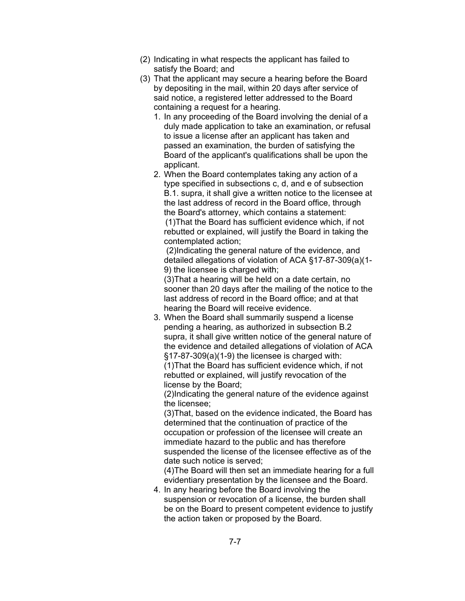- (2) Indicating in what respects the applicant has failed to satisfy the Board; and
- (3) That the applicant may secure a hearing before the Board by depositing in the mail, within 20 days after service of said notice, a registered letter addressed to the Board containing a request for a hearing.
	- 1. In any proceeding of the Board involving the denial of a duly made application to take an examination, or refusal to issue a license after an applicant has taken and passed an examination, the burden of satisfying the Board of the applicant's qualifications shall be upon the applicant
	- 2. When the Board contemplates taking any action of a type specified in subsections c, d, and e of subsection B.1. supra, it shall give a written notice to the licensee at the last address of record in the Board office, through the Board's attorney, which contains a statement: (1)That the Board has sufficient evidence which, if not rebutted or explained, will justify the Board in taking the contemplated action;

 (2)Indicating the general nature of the evidence, and detailed allegations of violation of ACA §17-87-309(a)(1- 9) the licensee is charged with;

(3)That a hearing will be held on a date certain, no sooner than 20 days after the mailing of the notice to the last address of record in the Board office; and at that hearing the Board will receive evidence.

3. When the Board shall summarily suspend a license pending a hearing, as authorized in subsection B.2 supra, it shall give written notice of the general nature of the evidence and detailed allegations of violation of ACA §17-87-309(a)(1-9) the licensee is charged with: (1)That the Board has sufficient evidence which, if not rebutted or explained, will justify revocation of the license by the Board;

(2)Indicating the general nature of the evidence against the licensee;

 (3)That, based on the evidence indicated, the Board has determined that the continuation of practice of the occupation or profession of the licensee will create an immediate hazard to the public and has therefore suspended the license of the licensee effective as of the date such notice is served;

 (4)The Board will then set an immediate hearing for a full evidentiary presentation by the licensee and the Board.

4. In any hearing before the Board involving the suspension or revocation of a license, the burden shall be on the Board to present competent evidence to justify the action taken or proposed by the Board.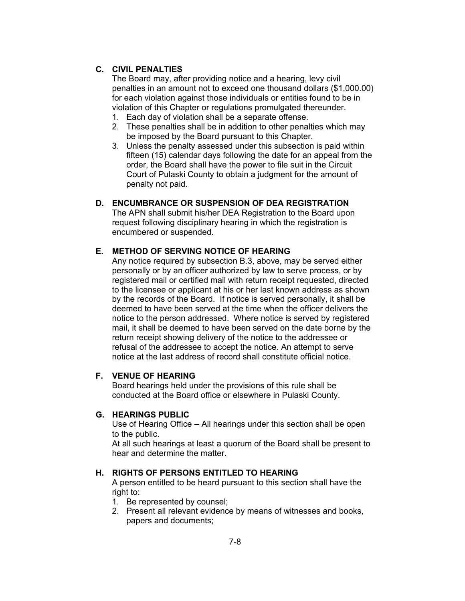### **C. CIVIL PENALTIES**

The Board may, after providing notice and a hearing, levy civil penalties in an amount not to exceed one thousand dollars (\$1,000.00) for each violation against those individuals or entities found to be in violation of this Chapter or regulations promulgated thereunder.

- 1. Each day of violation shall be a separate offense.
- 2. These penalties shall be in addition to other penalties which may be imposed by the Board pursuant to this Chapter.
- 3. Unless the penalty assessed under this subsection is paid within fifteen (15) calendar days following the date for an appeal from the order, the Board shall have the power to file suit in the Circuit Court of Pulaski County to obtain a judgment for the amount of penalty not paid.

### **D. ENCUMBRANCE OR SUSPENSION OF DEA REGISTRATION**

The APN shall submit his/her DEA Registration to the Board upon request following disciplinary hearing in which the registration is encumbered or suspended.

### **E. METHOD OF SERVING NOTICE OF HEARING**

Any notice required by subsection B.3, above, may be served either personally or by an officer authorized by law to serve process, or by registered mail or certified mail with return receipt requested, directed to the licensee or applicant at his or her last known address as shown by the records of the Board. If notice is served personally, it shall be deemed to have been served at the time when the officer delivers the notice to the person addressed. Where notice is served by registered mail, it shall be deemed to have been served on the date borne by the return receipt showing delivery of the notice to the addressee or refusal of the addressee to accept the notice. An attempt to serve notice at the last address of record shall constitute official notice.

#### **F. VENUE OF HEARING**

Board hearings held under the provisions of this rule shall be conducted at the Board office or elsewhere in Pulaski County.

#### **G. HEARINGS PUBLIC**

Use of Hearing Office – All hearings under this section shall be open to the public.

At all such hearings at least a quorum of the Board shall be present to hear and determine the matter.

#### **H. RIGHTS OF PERSONS ENTITLED TO HEARING**

A person entitled to be heard pursuant to this section shall have the right to:

- 1. Be represented by counsel;
- 2. Present all relevant evidence by means of witnesses and books, papers and documents;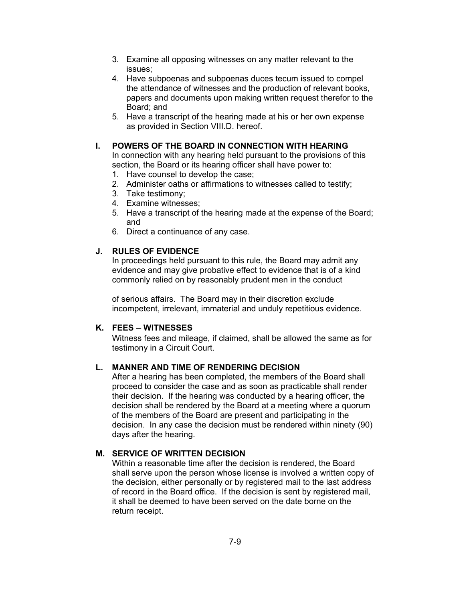- 3. Examine all opposing witnesses on any matter relevant to the issues;
- 4. Have subpoenas and subpoenas duces tecum issued to compel the attendance of witnesses and the production of relevant books, papers and documents upon making written request therefor to the Board; and
- 5. Have a transcript of the hearing made at his or her own expense as provided in Section VIII.D. hereof.

#### **I. POWERS OF THE BOARD IN CONNECTION WITH HEARING**

In connection with any hearing held pursuant to the provisions of this section, the Board or its hearing officer shall have power to:

- 1. Have counsel to develop the case;
- 2. Administer oaths or affirmations to witnesses called to testify;
- 3. Take testimony;
- 4. Examine witnesses;
- 5. Have a transcript of the hearing made at the expense of the Board; and
- 6. Direct a continuance of any case.

#### **J. RULES OF EVIDENCE**

In proceedings held pursuant to this rule, the Board may admit any evidence and may give probative effect to evidence that is of a kind commonly relied on by reasonably prudent men in the conduct

of serious affairs. The Board may in their discretion exclude incompetent, irrelevant, immaterial and unduly repetitious evidence.

### **K. FEES ─ WITNESSES**

Witness fees and mileage, if claimed, shall be allowed the same as for testimony in a Circuit Court.

### **L. MANNER AND TIME OF RENDERING DECISION**

After a hearing has been completed, the members of the Board shall proceed to consider the case and as soon as practicable shall render their decision. If the hearing was conducted by a hearing officer, the decision shall be rendered by the Board at a meeting where a quorum of the members of the Board are present and participating in the decision. In any case the decision must be rendered within ninety (90) days after the hearing.

#### **M. SERVICE OF WRITTEN DECISION**

Within a reasonable time after the decision is rendered, the Board shall serve upon the person whose license is involved a written copy of the decision, either personally or by registered mail to the last address of record in the Board office. If the decision is sent by registered mail, it shall be deemed to have been served on the date borne on the return receipt.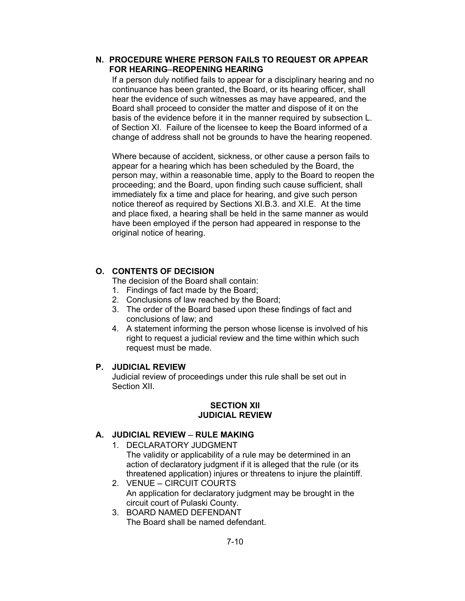### **N. PROCEDURE WHERE PERSON FAILS TO REQUEST OR APPEAR FOR HEARING─REOPENING HEARING**

If a person duly notified fails to appear for a disciplinary hearing and no continuance has been granted, the Board, or its hearing officer, shall hear the evidence of such witnesses as may have appeared, and the Board shall proceed to consider the matter and dispose of it on the basis of the evidence before it in the manner required by subsection L. of Section XI. Failure of the licensee to keep the Board informed of a change of address shall not be grounds to have the hearing reopened.

Where because of accident, sickness, or other cause a person fails to appear for a hearing which has been scheduled by the Board, the person may, within a reasonable time, apply to the Board to reopen the proceeding; and the Board, upon finding such cause sufficient, shall immediately fix a time and place for hearing, and give such person notice thereof as required by Sections XI.B.3. and XI.E. At the time and place fixed, a hearing shall be held in the same manner as would have been employed if the person had appeared in response to the original notice of hearing.

# **O. CONTENTS OF DECISION**

The decision of the Board shall contain:

- 1. Findings of fact made by the Board;
- 2. Conclusions of law reached by the Board;
- 3. The order of the Board based upon these findings of fact and conclusions of law; and
- 4. A statement informing the person whose license is involved of his right to request a judicial review and the time within which such request must be made.

### **P. JUDICIAL REVIEW**

Judicial review of proceedings under this rule shall be set out in Section XII.

### **SECTION XII JUDICIAL REVIEW**

# **A. JUDICIAL REVIEW ─ RULE MAKING**

- 1. DECLARATORY JUDGMENT The validity or applicability of a rule may be determined in an action of declaratory judgment if it is alleged that the rule (or its threatened application) injures or threatens to injure the plaintiff.
- 2. VENUE ─ CIRCUIT COURTS An application for declaratory judgment may be brought in the circuit court of Pulaski County.
- 3. BOARD NAMED DEFENDANT The Board shall be named defendant.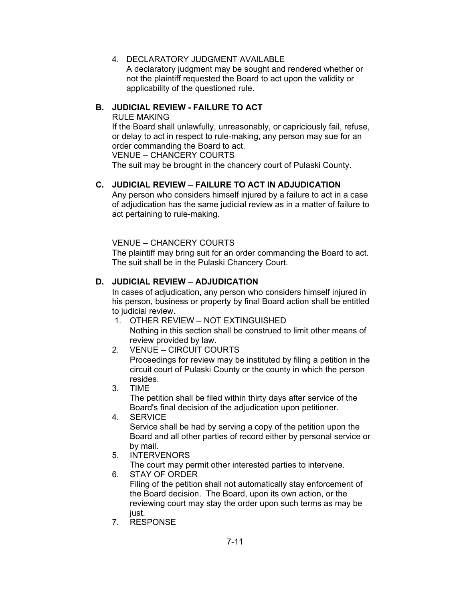4. DECLARATORY JUDGMENT AVAILABLE A declaratory judgment may be sought and rendered whether or not the plaintiff requested the Board to act upon the validity or applicability of the questioned rule.

### **B. JUDICIAL REVIEW - FAILURE TO ACT**

RULE MAKING

If the Board shall unlawfully, unreasonably, or capriciously fail, refuse, or delay to act in respect to rule-making, any person may sue for an order commanding the Board to act.

VENUE ─ CHANCERY COURTS

The suit may be brought in the chancery court of Pulaski County.

### **C. JUDICIAL REVIEW ─ FAILURE TO ACT IN ADJUDICATION**

Any person who considers himself injured by a failure to act in a case of adjudication has the same judicial review as in a matter of failure to act pertaining to rule-making.

VENUE ─ CHANCERY COURTS

The plaintiff may bring suit for an order commanding the Board to act. The suit shall be in the Pulaski Chancery Court.

### **D. JUDICIAL REVIEW ─ ADJUDICATION**

In cases of adjudication, any person who considers himself injured in his person, business or property by final Board action shall be entitled to judicial review.

- 1. OTHER REVIEW ─ NOT EXTINGUISHED Nothing in this section shall be construed to limit other means of review provided by law.
- 2. VENUE CIRCUIT COURTS

Proceedings for review may be instituted by filing a petition in the circuit court of Pulaski County or the county in which the person resides.

- 3. TIME The petition shall be filed within thirty days after service of the Board's final decision of the adjudication upon petitioner.
- 4. SERVICE

Service shall be had by serving a copy of the petition upon the Board and all other parties of record either by personal service or by mail.

5. INTERVENORS

The court may permit other interested parties to intervene.

6. STAY OF ORDER

Filing of the petition shall not automatically stay enforcement of the Board decision. The Board, upon its own action, or the reviewing court may stay the order upon such terms as may be just.

7. RESPONSE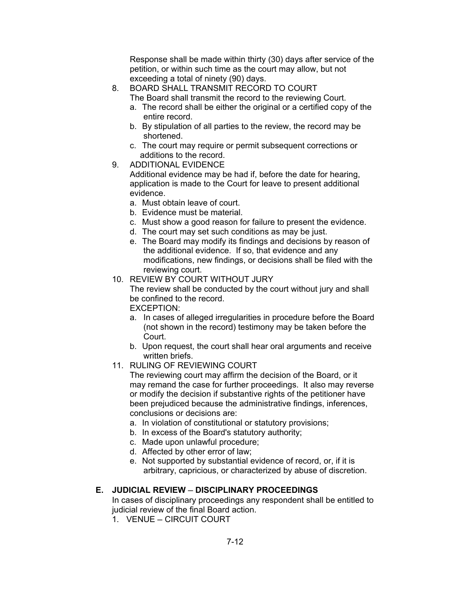Response shall be made within thirty (30) days after service of the petition, or within such time as the court may allow, but not exceeding a total of ninety (90) days.

- 8. BOARD SHALL TRANSMIT RECORD TO COURT
	- The Board shall transmit the record to the reviewing Court.
		- a. The record shall be either the original or a certified copy of the entire record.
		- b. By stipulation of all parties to the review, the record may be shortened.
		- c. The court may require or permit subsequent corrections or additions to the record.
- 9. ADDITIONAL EVIDENCE

Additional evidence may be had if, before the date for hearing, application is made to the Court for leave to present additional evidence.

- a. Must obtain leave of court.
- b. Evidence must be material.
- c. Must show a good reason for failure to present the evidence.
- d. The court may set such conditions as may be just.
- e. The Board may modify its findings and decisions by reason of the additional evidence. If so, that evidence and any modifications, new findings, or decisions shall be filed with the reviewing court.
- 10. REVIEW BY COURT WITHOUT JURY

The review shall be conducted by the court without jury and shall be confined to the record.

EXCEPTION:

- a. In cases of alleged irregularities in procedure before the Board (not shown in the record) testimony may be taken before the Court.
- b. Upon request, the court shall hear oral arguments and receive written briefs.
- 11. RULING OF REVIEWING COURT

The reviewing court may affirm the decision of the Board, or it may remand the case for further proceedings. It also may reverse or modify the decision if substantive rights of the petitioner have been prejudiced because the administrative findings, inferences, conclusions or decisions are:

- a. In violation of constitutional or statutory provisions;
- b. In excess of the Board's statutory authority;
- c. Made upon unlawful procedure;
- d. Affected by other error of law;
- e. Not supported by substantial evidence of record, or, if it is arbitrary, capricious, or characterized by abuse of discretion.

### **E. JUDICIAL REVIEW ─ DISCIPLINARY PROCEEDINGS**

In cases of disciplinary proceedings any respondent shall be entitled to judicial review of the final Board action.

1. VENUE ─ CIRCUIT COURT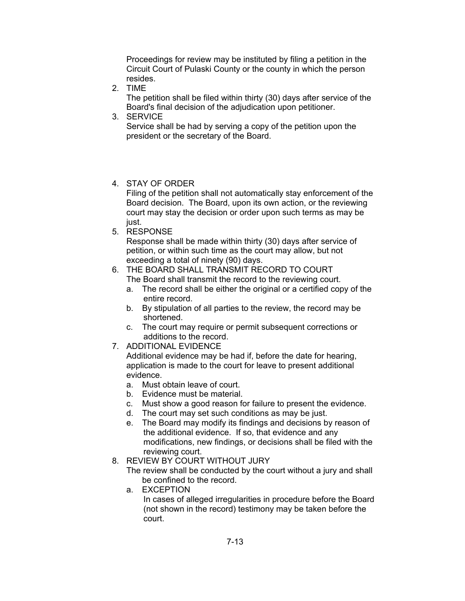Proceedings for review may be instituted by filing a petition in the Circuit Court of Pulaski County or the county in which the person resides.

2. TIME

The petition shall be filed within thirty (30) days after service of the Board's final decision of the adjudication upon petitioner.

3. SERVICE

Service shall be had by serving a copy of the petition upon the president or the secretary of the Board.

4. STAY OF ORDER

Filing of the petition shall not automatically stay enforcement of the Board decision. The Board, upon its own action, or the reviewing court may stay the decision or order upon such terms as may be just.

5. RESPONSE

Response shall be made within thirty (30) days after service of petition, or within such time as the court may allow, but not exceeding a total of ninety (90) days.

- 6. THE BOARD SHALL TRANSMIT RECORD TO COURT The Board shall transmit the record to the reviewing court.
	- a. The record shall be either the original or a certified copy of the entire record.
	- b. By stipulation of all parties to the review, the record may be shortened.
	- c. The court may require or permit subsequent corrections or additions to the record.
- 7. ADDITIONAL EVIDENCE

Additional evidence may be had if, before the date for hearing, application is made to the court for leave to present additional evidence.

- a. Must obtain leave of court.
- b. Evidence must be material.
- c. Must show a good reason for failure to present the evidence.
- d. The court may set such conditions as may be just.
- e. The Board may modify its findings and decisions by reason of the additional evidence. If so, that evidence and any modifications, new findings, or decisions shall be filed with the reviewing court.
- 8. REVIEW BY COURT WITHOUT JURY
	- The review shall be conducted by the court without a jury and shall be confined to the record.
	- a. EXCEPTION In cases of alleged irregularities in procedure before the Board (not shown in the record) testimony may be taken before the court.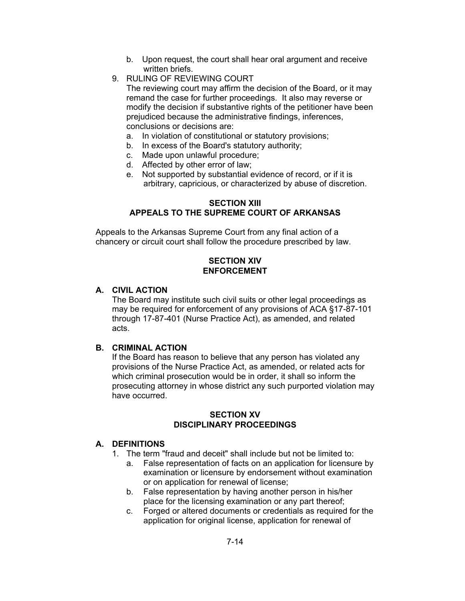- b. Upon request, the court shall hear oral argument and receive written briefs.
- 9. RULING OF REVIEWING COURT

The reviewing court may affirm the decision of the Board, or it may remand the case for further proceedings. It also may reverse or modify the decision if substantive rights of the petitioner have been prejudiced because the administrative findings, inferences, conclusions or decisions are:

- a. In violation of constitutional or statutory provisions;
- b. In excess of the Board's statutory authority;
- c. Made upon unlawful procedure;
- d. Affected by other error of law;
- e. Not supported by substantial evidence of record, or if it is arbitrary, capricious, or characterized by abuse of discretion.

### **SECTION XIII APPEALS TO THE SUPREME COURT OF ARKANSAS**

Appeals to the Arkansas Supreme Court from any final action of a chancery or circuit court shall follow the procedure prescribed by law.

### **SECTION XIV ENFORCEMENT**

### **A. CIVIL ACTION**

The Board may institute such civil suits or other legal proceedings as may be required for enforcement of any provisions of ACA §17-87-101 through 17-87-401 (Nurse Practice Act), as amended, and related acts.

# **B. CRIMINAL ACTION**

If the Board has reason to believe that any person has violated any provisions of the Nurse Practice Act, as amended, or related acts for which criminal prosecution would be in order, it shall so inform the prosecuting attorney in whose district any such purported violation may have occurred.

### **SECTION XV DISCIPLINARY PROCEEDINGS**

### **A. DEFINITIONS**

- 1. The term "fraud and deceit" shall include but not be limited to:
	- a. False representation of facts on an application for licensure by examination or licensure by endorsement without examination or on application for renewal of license;
	- b. False representation by having another person in his/her place for the licensing examination or any part thereof;
	- c. Forged or altered documents or credentials as required for the application for original license, application for renewal of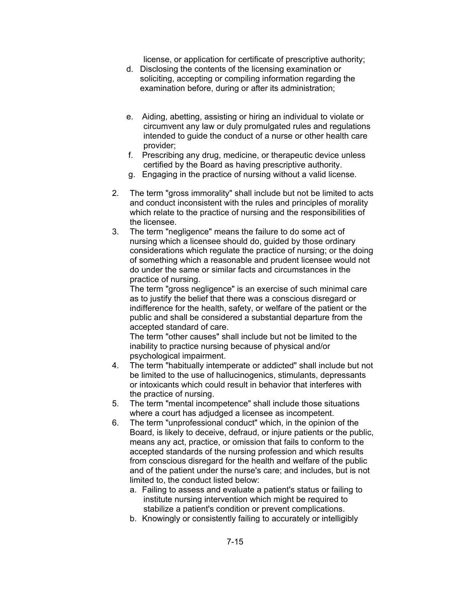license, or application for certificate of prescriptive authority;

- d. Disclosing the contents of the licensing examination or soliciting, accepting or compiling information regarding the examination before, during or after its administration;
- e. Aiding, abetting, assisting or hiring an individual to violate or circumvent any law or duly promulgated rules and regulations intended to guide the conduct of a nurse or other health care provider;
- f. Prescribing any drug, medicine, or therapeutic device unless certified by the Board as having prescriptive authority.
- g. Engaging in the practice of nursing without a valid license.
- 2. The term "gross immorality" shall include but not be limited to acts and conduct inconsistent with the rules and principles of morality which relate to the practice of nursing and the responsibilities of the licensee.
- 3. The term "negligence" means the failure to do some act of nursing which a licensee should do, guided by those ordinary considerations which regulate the practice of nursing; or the doing of something which a reasonable and prudent licensee would not do under the same or similar facts and circumstances in the practice of nursing.

The term "gross negligence" is an exercise of such minimal care as to justify the belief that there was a conscious disregard or indifference for the health, safety, or welfare of the patient or the public and shall be considered a substantial departure from the accepted standard of care.

The term "other causes" shall include but not be limited to the inability to practice nursing because of physical and/or psychological impairment.

- 4. The term "habitually intemperate or addicted" shall include but not be limited to the use of hallucinogenics, stimulants, depressants or intoxicants which could result in behavior that interferes with the practice of nursing.
- 5. The term "mental incompetence" shall include those situations where a court has adjudged a licensee as incompetent.
- 6. The term "unprofessional conduct" which, in the opinion of the Board, is likely to deceive, defraud, or injure patients or the public, means any act, practice, or omission that fails to conform to the accepted standards of the nursing profession and which results from conscious disregard for the health and welfare of the public and of the patient under the nurse's care; and includes, but is not limited to, the conduct listed below:
	- a. Failing to assess and evaluate a patient's status or failing to institute nursing intervention which might be required to stabilize a patient's condition or prevent complications.
	- b. Knowingly or consistently failing to accurately or intelligibly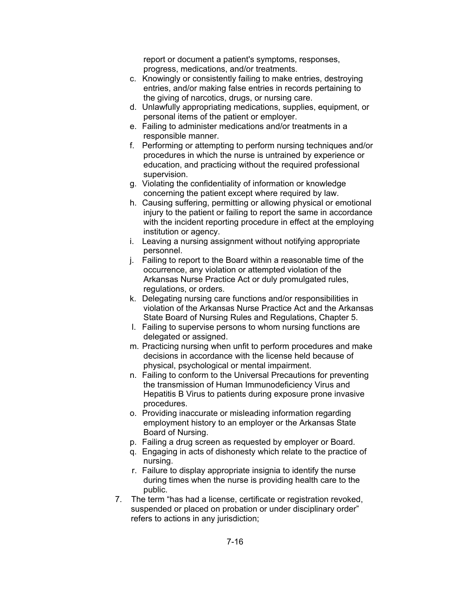report or document a patient's symptoms, responses, progress, medications, and/or treatments.

- c. Knowingly or consistently failing to make entries, destroying entries, and/or making false entries in records pertaining to the giving of narcotics, drugs, or nursing care.
- d. Unlawfully appropriating medications, supplies, equipment, or personal items of the patient or employer.
- e. Failing to administer medications and/or treatments in a responsible manner.
- f. Performing or attempting to perform nursing techniques and/or procedures in which the nurse is untrained by experience or education, and practicing without the required professional supervision.
- g. Violating the confidentiality of information or knowledge concerning the patient except where required by law.
- h. Causing suffering, permitting or allowing physical or emotional injury to the patient or failing to report the same in accordance with the incident reporting procedure in effect at the employing institution or agency.
- i. Leaving a nursing assignment without notifying appropriate personnel.
- j. Failing to report to the Board within a reasonable time of the occurrence, any violation or attempted violation of the Arkansas Nurse Practice Act or duly promulgated rules, regulations, or orders.
- k. Delegating nursing care functions and/or responsibilities in violation of the Arkansas Nurse Practice Act and the Arkansas State Board of Nursing Rules and Regulations, Chapter 5.
- l. Failing to supervise persons to whom nursing functions are delegated or assigned.
- m. Practicing nursing when unfit to perform procedures and make decisions in accordance with the license held because of physical, psychological or mental impairment.
- n. Failing to conform to the Universal Precautions for preventing the transmission of Human Immunodeficiency Virus and Hepatitis B Virus to patients during exposure prone invasive procedures.
- o. Providing inaccurate or misleading information regarding employment history to an employer or the Arkansas State Board of Nursing.
- p. Failing a drug screen as requested by employer or Board.
- q. Engaging in acts of dishonesty which relate to the practice of nursing.
- r. Failure to display appropriate insignia to identify the nurse during times when the nurse is providing health care to the public.
- 7. The term "has had a license, certificate or registration revoked, suspended or placed on probation or under disciplinary order" refers to actions in any jurisdiction: